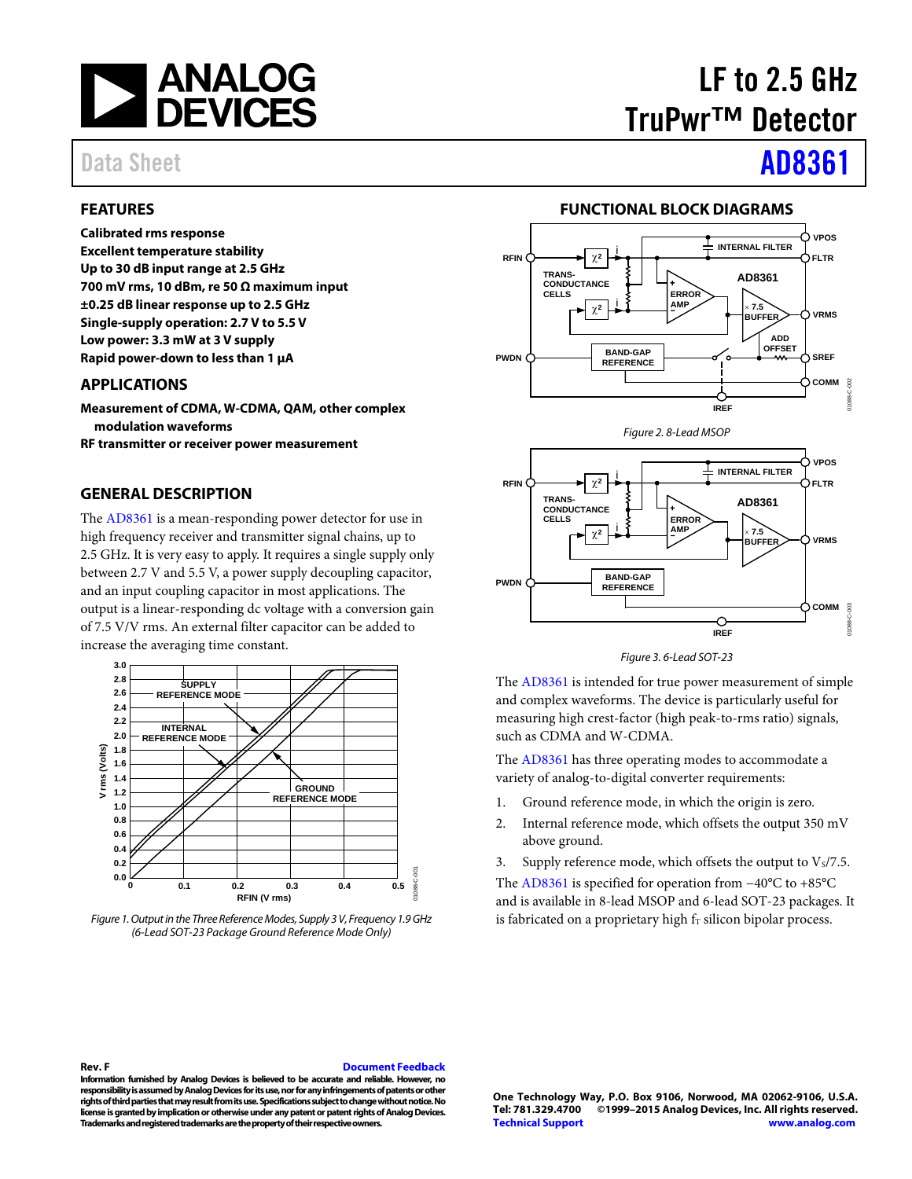

### <span id="page-0-0"></span>**FEATURES**

**Calibrated rms response Excellent temperature stability Up to 30 dB input range at 2.5 GHz 700 mV rms, 10 dBm, re 50 Ω maximum input ±0.25 dB linear response up to 2.5 GHz Single-supply operation: 2.7 V to 5.5 V Low power: 3.3 mW at 3 V supply Rapid power-down to less than 1 µA**

### <span id="page-0-1"></span>**APPLICATIONS**

**Measurement of CDMA, W-CDMA, QAM, other complex modulation waveforms**

**RF transmitter or receiver power measurement**

### <span id="page-0-2"></span>**GENERAL DESCRIPTION**

The [AD8361](http://www.analog.com/AD8361?doc=AD8361.pdf) is a mean-responding power detector for use in high frequency receiver and transmitter signal chains, up to 2.5 GHz. It is very easy to apply. It requires a single supply only between 2.7 V and 5.5 V, a power supply decoupling capacitor, and an input coupling capacitor in most applications. The output is a linear-responding dc voltage with a conversion gain of 7.5 V/V rms. An external filter capacitor can be added to increase the averaging time constant.



*Figure 1. Output in the Three Reference Modes, Supply 3 V, Frequency 1.9 GHz (6-Lead SOT-23 Package Ground Reference Mode Only)*

# LF to 2.5 GHz TruPwr™ Detector

# Data Sheet **[AD8361](http://www.analog.com/AD8361?doc=AD8361.pdf)**

### **FUNCTIONAL BLOCK DIAGRAMS**

<span id="page-0-3"></span>





The [AD8361](http://www.analog.com/AD8361?doc=AD8361.pdf) is intended for true power measurement of simple and complex waveforms. The device is particularly useful for measuring high crest-factor (high peak-to-rms ratio) signals, such as CDMA and W-CDMA.

The [AD8361](http://www.analog.com/AD8361?doc=AD8361.pdf) has three operating modes to accommodate a variety of analog-to-digital converter requirements:

- 1. Ground reference mode, in which the origin is zero.
- 2. Internal reference mode, which offsets the output 350 mV above ground.
- 3. Supply reference mode, which offsets the output to  $V_s/7.5$ .

The [AD8361](http://www.analog.com/AD8361?doc=AD8361.pdf) is specified for operation from −40°C to +85°C and is available in 8-lead MSOP and 6-lead SOT-23 packages. It is fabricated on a proprietary high  $f<sub>T</sub>$  silicon bipolar process.

#### **Rev. F [Document Feedback](https://form.analog.com/Form_Pages/feedback/documentfeedback.aspx?doc=AD8361.pdf&product=AD8361&rev=F)**

**Information furnished by Analog Devices is believed to be accurate and reliable. However, no responsibility is assumed by Analog Devices for its use, nor for any infringements of patents or other rights of third parties that may result from its use. Specifications subject to change without notice. No license is granted by implication or otherwise under any patent or patent rights of Analog Devices. Trademarks and registered trademarks are the property of their respective owners.**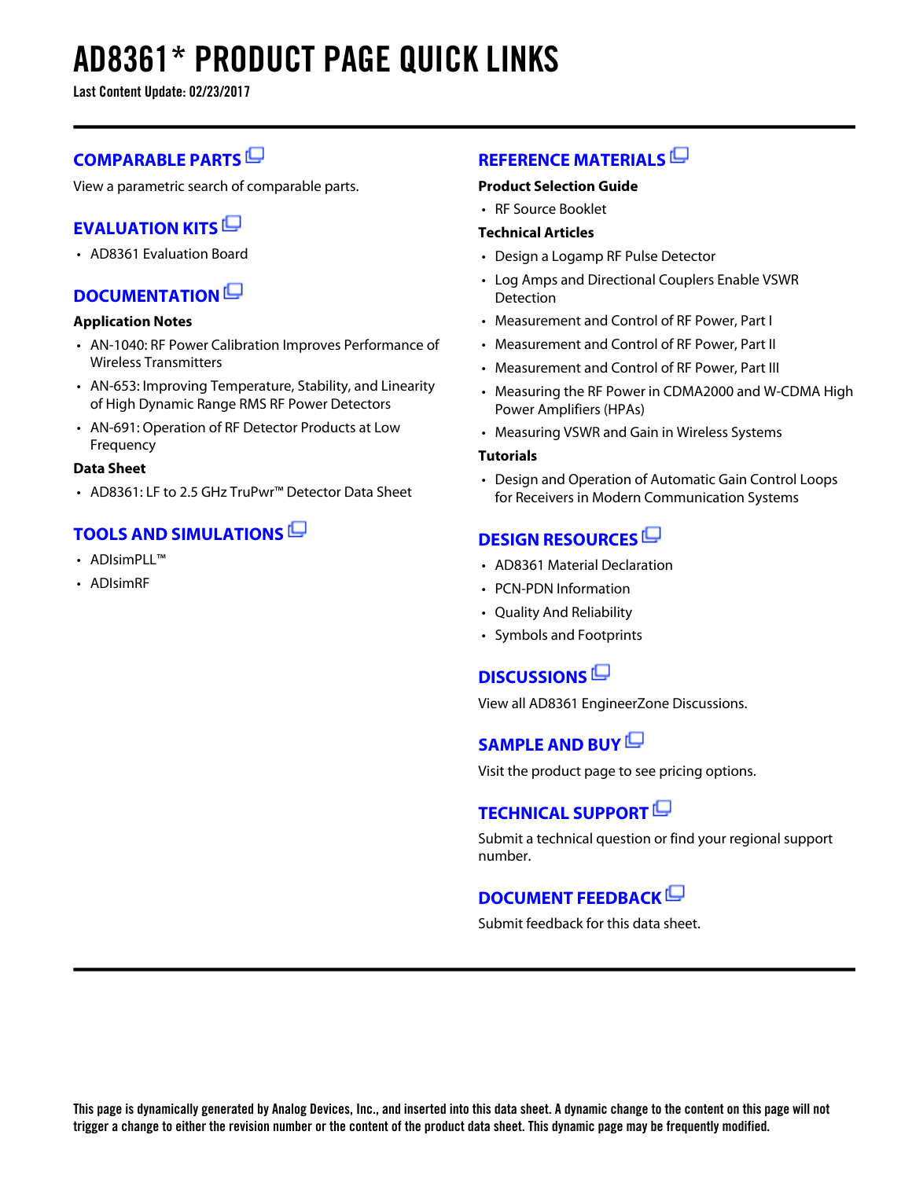# **AD8361\* PRODUCT PAGE QUICK LINKS**

**Last Content Update: 02/23/2017**

## **[COMPARABLE PARTS](http://www.analog.com/parametricsearch/en/10701?doc=AD8361.pdf&p0=1&lsrc=pst)**

View a parametric search of comparable parts.

## **[EVALUATION KITS](http://www.analog.com/ad8361/evalkits?doc=AD8361.pdf&p0=1&lsrc=ek)**

• AD8361 Evaluation Board

## **[DOCUMENTATION](http://www.analog.com/ad8361/documentation?doc=AD8361.pdf&p0=1&lsrc=doc)**

### **Application Notes**

- AN-1040: RF Power Calibration Improves Performance of Wireless Transmitters
- AN-653: Improving Temperature, Stability, and Linearity of High Dynamic Range RMS RF Power Detectors
- AN-691: Operation of RF Detector Products at Low Frequency

### **Data Sheet**

• AD8361: LF to 2.5 GHz TruPwr™ Detector Data Sheet

### **[TOOLS AND SIMULATIONS](http://www.analog.com/ad8361/tools?doc=AD8361.pdf&p0=1&lsrc=tools)**

- ADIsimPLI™
- ADIsimRF

### **[REFERENCE MATERIALS](http://www.analog.com/ad8361/referencematerials?doc=AD8361.pdf&p0=1&lsrc=rm)**

### **Product Selection Guide**

• RF Source Booklet

### **Technical Articles**

- Design a Logamp RF Pulse Detector
- Log Amps and Directional Couplers Enable VSWR **Detection**
- Measurement and Control of RF Power, Part I
- Measurement and Control of RF Power, Part II
- Measurement and Control of RF Power, Part III
- Measuring the RF Power in CDMA2000 and W-CDMA High Power Amplifiers (HPAs)
- Measuring VSWR and Gain in Wireless Systems

### **Tutorials**

• Design and Operation of Automatic Gain Control Loops for Receivers in Modern Communication Systems

## **[DESIGN RESOURCES](http://www.analog.com/ad8361/designsources?doc=AD8361.pdf&p0=1&lsrc=dr)**

- AD8361 Material Declaration
- PCN-PDN Information
- Quality And Reliability
- Symbols and Footprints

### **[DISCUSSIONS](http://www.analog.com/ad8361/discussions?doc=AD8361.pdf&p0=1&lsrc=disc)**

View all AD8361 EngineerZone Discussions.

## **[SAMPLE AND BUY](http://www.analog.com/ad8361/sampleandbuy?doc=AD8361.pdf&p0=1&lsrc=sb)**

Visit the product page to see pricing options.

## **[TECHNICAL SUPPORT](http://www.analog.com/support/technical-support.html?doc=AD8361.pdf&p0=1&lsrc=techs)**

Submit a technical question or find your regional support number.

### **[DOCUMENT FEEDBACK](https://form.analog.com/Form_Pages/feedback/documentfeedback.aspx?doc=AD8361.pdf&product=AD8361&p0=1&lsrc=dfs)**

Submit feedback for this data sheet.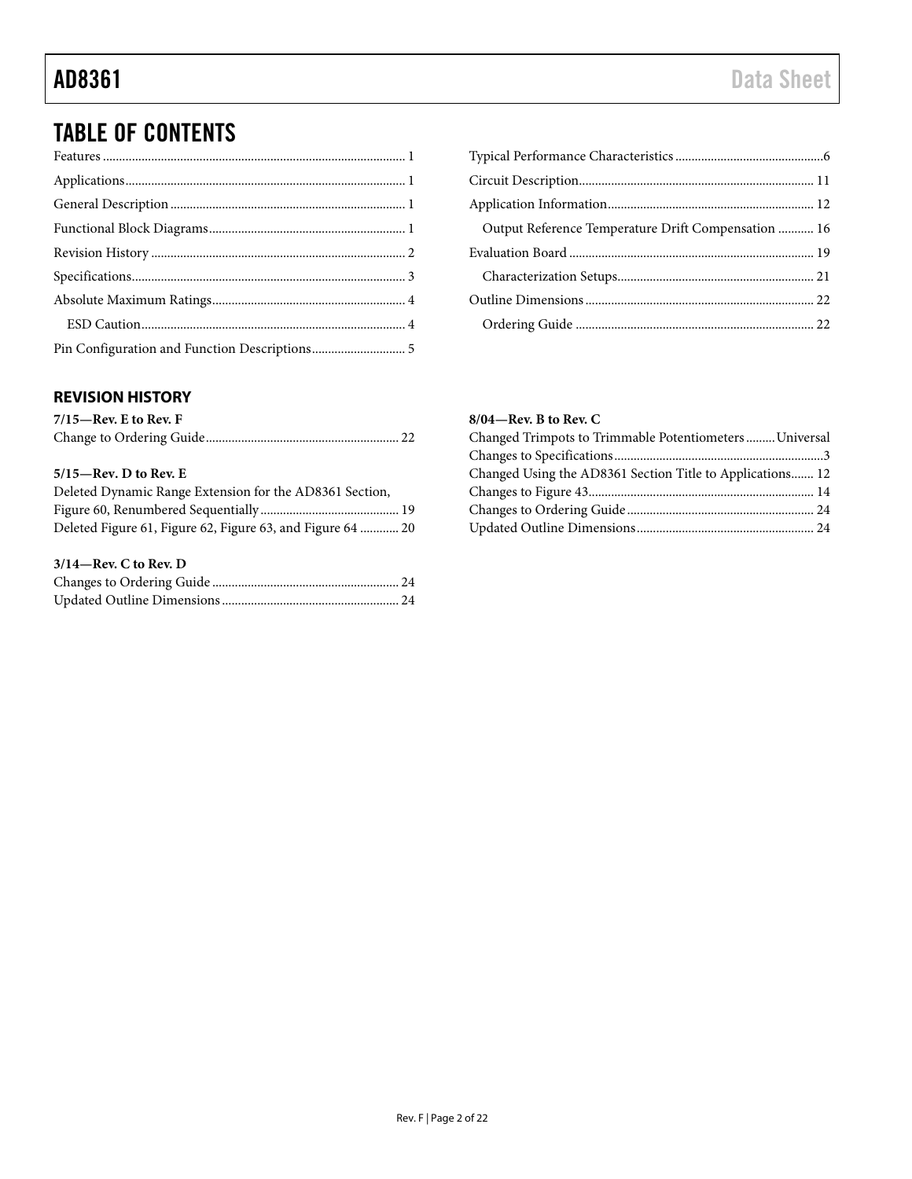# TABLE OF CONTENTS

### <span id="page-2-0"></span>**REVISION HISTORY**

| $7/15$ —Rev. E to Rev. F |  |
|--------------------------|--|
|                          |  |

### **5/15—Rev. D to Rev. E**

| Deleted Dynamic Range Extension for the AD8361 Section,    |  |
|------------------------------------------------------------|--|
|                                                            |  |
| Deleted Figure 61, Figure 62, Figure 63, and Figure 64  20 |  |

### **3/14—Rev. C to Rev. D**

| Output Reference Temperature Drift Compensation  16 |  |
|-----------------------------------------------------|--|
|                                                     |  |
|                                                     |  |
|                                                     |  |
|                                                     |  |

### **8/04—Rev. B to Rev. C**

| Changed Trimpots to Trimmable Potentiometers Universal    |  |
|-----------------------------------------------------------|--|
|                                                           |  |
| Changed Using the AD8361 Section Title to Applications 12 |  |
|                                                           |  |
|                                                           |  |
|                                                           |  |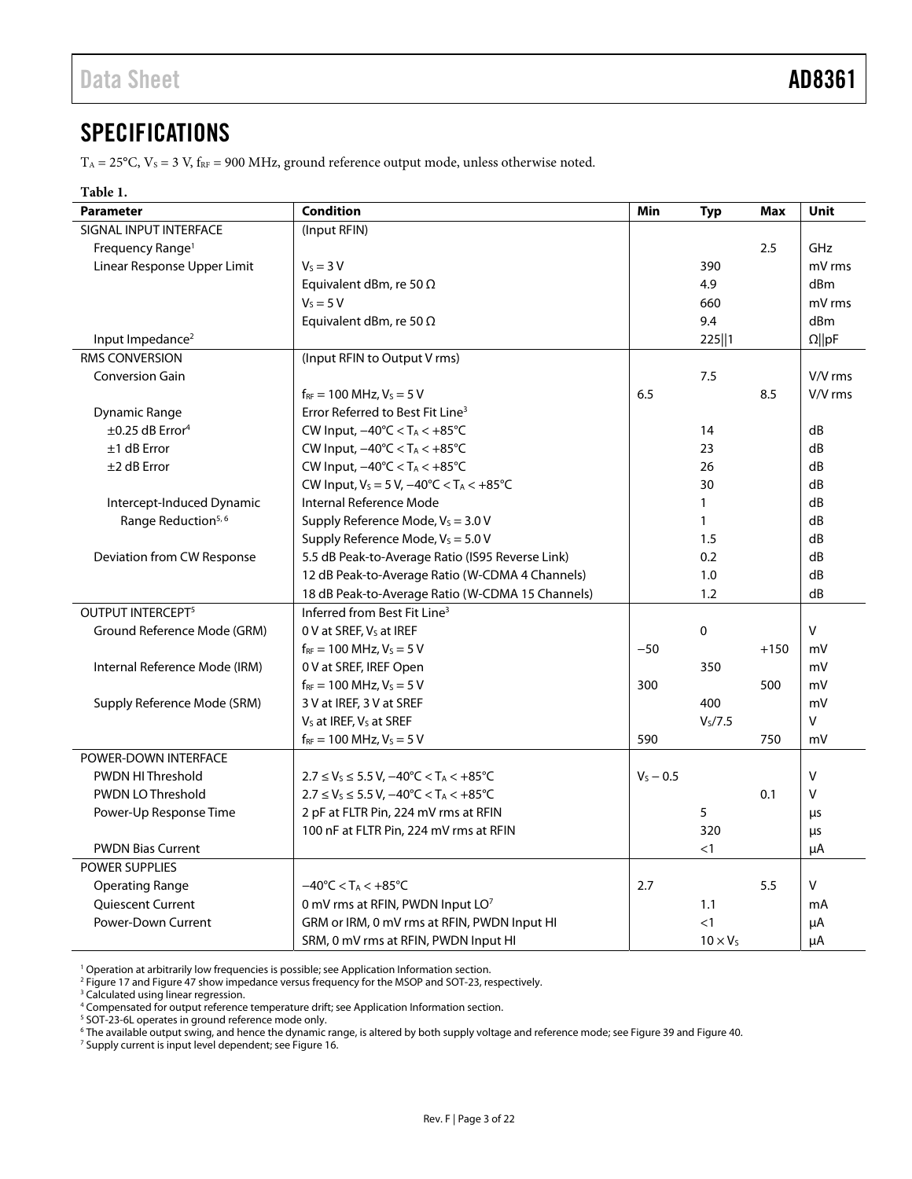# <span id="page-3-0"></span>**SPECIFICATIONS**

 $T_A = 25^{\circ}$ C,  $V_S = 3$  V,  $f_{RF} = 900$  MHz, ground reference output mode, unless otherwise noted.

### **Table 1.**

| <b>Parameter</b>                 | <b>Condition</b>                                                            | Min         | <b>Typ</b>          | Max    | <b>Unit</b>     |
|----------------------------------|-----------------------------------------------------------------------------|-------------|---------------------|--------|-----------------|
| SIGNAL INPUT INTERFACE           | (Input RFIN)                                                                |             |                     |        |                 |
| Frequency Range <sup>1</sup>     |                                                                             |             |                     | 2.5    | GHz             |
| Linear Response Upper Limit      | $V_S = 3 V$                                                                 |             | 390                 |        | mV rms          |
|                                  | Equivalent dBm, re 50 $\Omega$                                              |             | 4.9                 |        | d <sub>Bm</sub> |
|                                  | $V_s = 5 V$                                                                 |             | 660                 |        | mV rms          |
|                                  | Equivalent dBm, re 50 $\Omega$                                              |             | 9.4                 |        | dBm             |
| Input Impedance <sup>2</sup>     |                                                                             |             | 225  1              |        | $\Omega$   pF   |
| RMS CONVERSION                   | (Input RFIN to Output V rms)                                                |             |                     |        |                 |
| <b>Conversion Gain</b>           |                                                                             |             | 7.5                 |        | V/V rms         |
|                                  | $f_{RF}$ = 100 MHz, $V_S$ = 5 V                                             | 6.5         |                     | 8.5    | V/V rms         |
| <b>Dynamic Range</b>             | Error Referred to Best Fit Line <sup>3</sup>                                |             |                     |        |                 |
| $\pm 0.25$ dB Error <sup>4</sup> | CW Input, $-40^{\circ}$ C < TA < $+85^{\circ}$ C                            |             | 14                  |        | dB              |
| $±1$ dB Error                    | CW Input, $-40^{\circ}$ C < TA < $+85^{\circ}$ C                            |             | 23                  |        | dB              |
| $±2$ dB Error                    | CW Input, $-40^{\circ}$ C < T <sub>A</sub> < $+85^{\circ}$ C                |             | 26                  |        | dB              |
|                                  | CW Input, $V_S = 5 V$ , $-40^{\circ}C < T_A < +85^{\circ}C$                 |             | 30                  |        | dB              |
| Intercept-Induced Dynamic        | Internal Reference Mode                                                     |             | $\mathbf{1}$        |        | dB              |
| Range Reduction <sup>5,6</sup>   | Supply Reference Mode, $V_s = 3.0 V$                                        |             | $\mathbf{1}$        |        | dB              |
|                                  | Supply Reference Mode, $V_s = 5.0 V$                                        |             | 1.5                 |        | dB              |
| Deviation from CW Response       | 5.5 dB Peak-to-Average Ratio (IS95 Reverse Link)                            |             | 0.2                 |        | dB              |
|                                  | 12 dB Peak-to-Average Ratio (W-CDMA 4 Channels)                             |             | 1.0                 |        | dB              |
|                                  | 18 dB Peak-to-Average Ratio (W-CDMA 15 Channels)                            |             | 1.2                 |        | dB              |
| OUTPUT INTERCEPT <sup>5</sup>    | Inferred from Best Fit Line <sup>3</sup>                                    |             |                     |        |                 |
| Ground Reference Mode (GRM)      | 0 V at SREF, Vs at IREF                                                     |             | $\pmb{0}$           |        | $\vee$          |
|                                  | $f_{RF}$ = 100 MHz, $V_S$ = 5 V                                             | $-50$       |                     | $+150$ | mV              |
| Internal Reference Mode (IRM)    | 0 V at SREF, IREF Open                                                      |             | 350                 |        | mV              |
|                                  | $f_{RF}$ = 100 MHz, $V_S$ = 5 V                                             | 300         |                     | 500    | mV              |
| Supply Reference Mode (SRM)      | 3 V at IREF, 3 V at SREF                                                    |             | 400                 |        | mV              |
|                                  | V <sub>s</sub> at IREF, V <sub>s</sub> at SREF                              |             | V <sub>S</sub> /7.5 |        | $\vee$          |
|                                  | $f_{RF}$ = 100 MHz, $V_s$ = 5 V                                             | 590         |                     | 750    | mV              |
| POWER-DOWN INTERFACE             |                                                                             |             |                     |        |                 |
| <b>PWDN HIThreshold</b>          | $2.7 \le V_s \le 5.5$ V, $-40^{\circ}$ C < T <sub>A</sub> < $+85^{\circ}$ C | $V_5 - 0.5$ |                     |        | $\vee$          |
| <b>PWDN LO Threshold</b>         | $2.7 \le V_S \le 5.5 V, -40^{\circ}C < T_A < +85^{\circ}C$                  |             |                     | 0.1    | $\vee$          |
| Power-Up Response Time           | 2 pF at FLTR Pin, 224 mV rms at RFIN                                        |             | 5                   |        | μs              |
|                                  | 100 nF at FLTR Pin, 224 mV rms at RFIN                                      |             | 320                 |        | μs              |
| <b>PWDN Bias Current</b>         |                                                                             |             | $<$ 1               |        | μA              |
| <b>POWER SUPPLIES</b>            |                                                                             |             |                     |        |                 |
| <b>Operating Range</b>           | $-40^{\circ}$ C < T <sub>A</sub> < $+85^{\circ}$ C                          | 2.7         |                     | 5.5    | $\vee$          |
| Quiescent Current                | 0 mV rms at RFIN, PWDN Input LO7                                            |             | 1.1                 |        | mA              |
| <b>Power-Down Current</b>        | GRM or IRM, 0 mV rms at RFIN, PWDN Input HI                                 |             | $\leq$ 1            |        | μA              |
|                                  | SRM, 0 mV rms at RFIN, PWDN Input HI                                        |             | $10 \times V_S$     |        | $\mu$ A         |

<sup>1</sup> Operation at arbitrarily low frequencies is possible; se[e Application Information](#page-12-0) section.<br><sup>2</sup> Figure 17 and Figure 47 show impedance versus frequency for the MSOP and SOT-23, re

<sup>2</sup> [Figure 17 a](#page-7-0)n[d Figure 47 s](#page-14-0)how impedance versus frequency for the MSOP and SOT-23, respectively.

<sup>3</sup> Calculated using linear regression.

<sup>6</sup> The available output swing, and hence the dynamic range, is altered by both supply voltage and reference mode; se[e Figure 39 a](#page-12-1)nd Figure 40.<br><sup>7</sup> Supply current is input level dependent: see Figure 16.

<sup>7</sup> Supply current is input level dependent; see Figure 16.

<sup>4</sup> Compensated for output reference temperature drift; se[e Application Information](#page-12-0) section. 5 SOT-23-6L operates in ground reference mode only.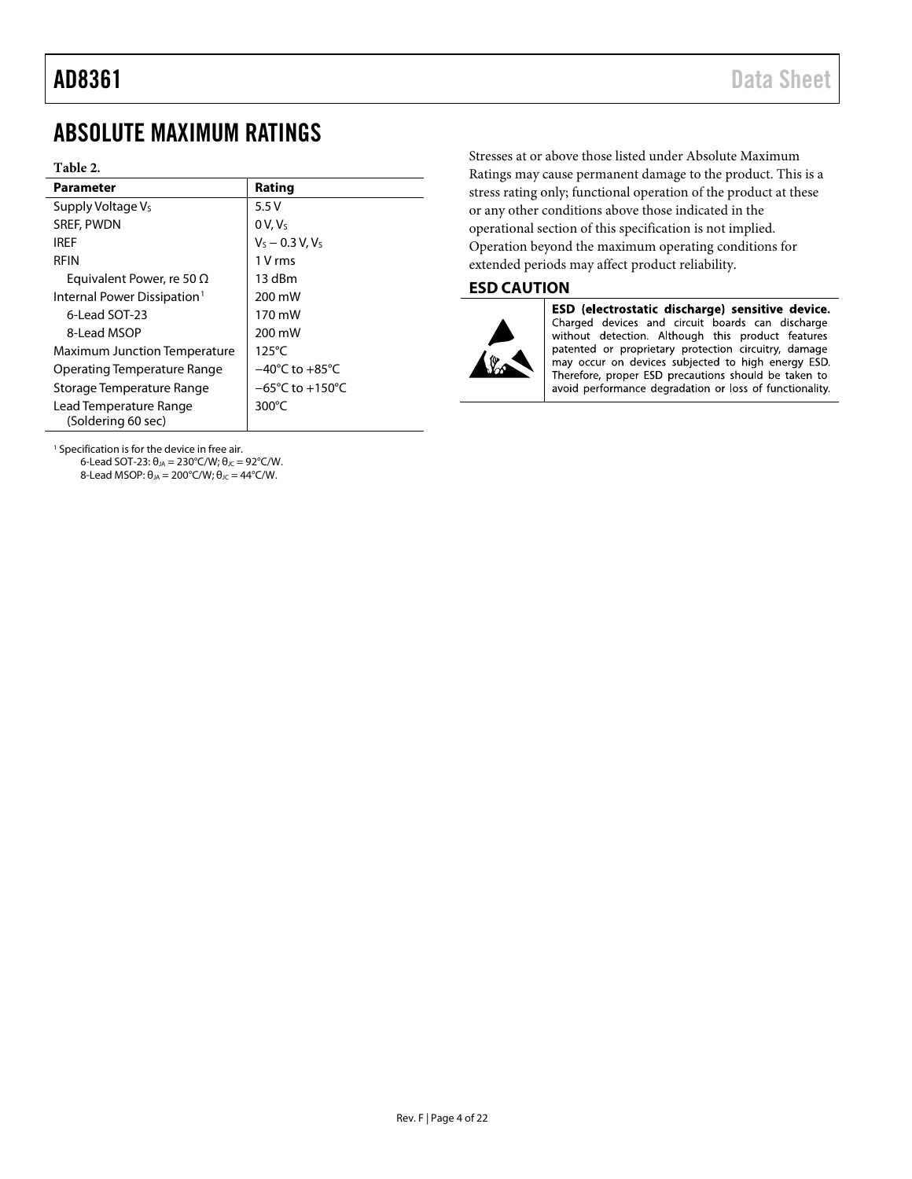# <span id="page-4-0"></span>ABSOLUTE MAXIMUM RATINGS

#### **Table 2.**

| <b>Parameter</b>                             | Rating                              |
|----------------------------------------------|-------------------------------------|
| Supply Voltage Vs                            | 5.5V                                |
| <b>SREF, PWDN</b>                            | $0 V, V_s$                          |
| IRFF                                         | $V_S - 0.3 V, V_S$                  |
| <b>RFIN</b>                                  | 1 V rms                             |
| Equivalent Power, re 50 $\Omega$             | 13 dBm                              |
| Internal Power Dissipation <sup>1</sup>      | 200 mW                              |
| 6-Lead SOT-23                                | 170 mW                              |
| 8-Lead MSOP                                  | 200 mW                              |
| <b>Maximum Junction Temperature</b>          | $125^{\circ}$ C                     |
| Operating Temperature Range                  | $-40^{\circ}$ C to $+85^{\circ}$ C  |
| Storage Temperature Range                    | $-65^{\circ}$ C to $+150^{\circ}$ C |
| Lead Temperature Range<br>(Soldering 60 sec) | $300^{\circ}$ C                     |

<sup>1</sup> Specification is for the device in free air. 6-Lead SOT-23:  $\theta_{JA} = 230^{\circ}$ C/W;  $\theta_{JC} = 92^{\circ}$ C/W. 8-Lead MSOP:  $θ_{JA} = 200°C/W$ ;  $θ_{JC} = 44°C/W$ .

Stresses at or above those listed under Absolute Maximum Ratings may cause permanent damage to the product. This is a stress rating only; functional operation of the product at these or any other conditions above those indicated in the operational section of this specification is not implied. Operation beyond the maximum operating conditions for extended periods may affect product reliability.

### <span id="page-4-1"></span>**ESD CAUTION**



ESD (electrostatic discharge) sensitive device. Charged devices and circuit boards can discharge<br>without detection. Although this product features patented or proprietary protection circuitry, damage may occur on devices subjected to high energy ESD. Therefore, proper ESD precautions should be taken to avoid performance degradation or loss of functionality.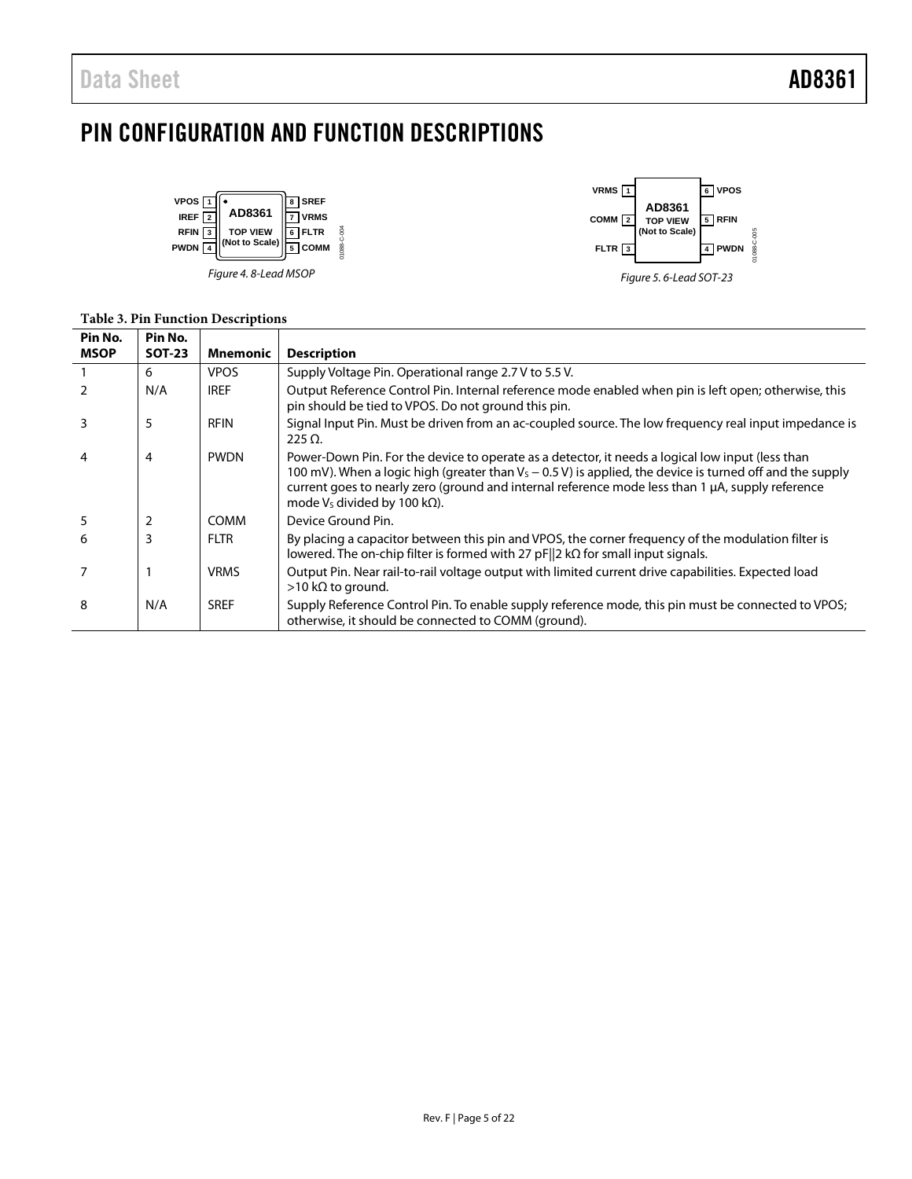# <span id="page-5-0"></span>PIN CONFIGURATION AND FUNCTION DESCRIPTIONS

01088-C-004





### **Table 3. Pin Function Descriptions**

| Pin No.     | Pin No.       |                 |                                                                                                                                                                                                                                                                                                                                                                |
|-------------|---------------|-----------------|----------------------------------------------------------------------------------------------------------------------------------------------------------------------------------------------------------------------------------------------------------------------------------------------------------------------------------------------------------------|
| <b>MSOP</b> | <b>SOT-23</b> | <b>Mnemonic</b> | <b>Description</b>                                                                                                                                                                                                                                                                                                                                             |
|             | 6             | <b>VPOS</b>     | Supply Voltage Pin. Operational range 2.7 V to 5.5 V.                                                                                                                                                                                                                                                                                                          |
|             | N/A           | <b>IREF</b>     | Output Reference Control Pin. Internal reference mode enabled when pin is left open; otherwise, this<br>pin should be tied to VPOS. Do not ground this pin.                                                                                                                                                                                                    |
| 3           | 5             | <b>RFIN</b>     | Signal Input Pin. Must be driven from an ac-coupled source. The low frequency real input impedance is<br>$225 \Omega$                                                                                                                                                                                                                                          |
| 4           | 4             | <b>PWDN</b>     | Power-Down Pin. For the device to operate as a detector, it needs a logical low input (less than<br>100 mV). When a logic high (greater than $V_5 - 0.5$ V) is applied, the device is turned off and the supply<br>current goes to nearly zero (ground and internal reference mode less than 1 µA, supply reference<br>mode $V_s$ divided by 100 k $\Omega$ ). |
| 5           | 2             | <b>COMM</b>     | Device Ground Pin.                                                                                                                                                                                                                                                                                                                                             |
| 6           | 3             | <b>FLTR</b>     | By placing a capacitor between this pin and VPOS, the corner frequency of the modulation filter is<br>lowered. The on-chip filter is formed with 27 pF  2 $k\Omega$ for small input signals.                                                                                                                                                                   |
|             |               | <b>VRMS</b>     | Output Pin. Near rail-to-rail voltage output with limited current drive capabilities. Expected load<br>$>$ 10 kΩ to ground.                                                                                                                                                                                                                                    |
| 8           | N/A           | <b>SREF</b>     | Supply Reference Control Pin. To enable supply reference mode, this pin must be connected to VPOS;<br>otherwise, it should be connected to COMM (ground).                                                                                                                                                                                                      |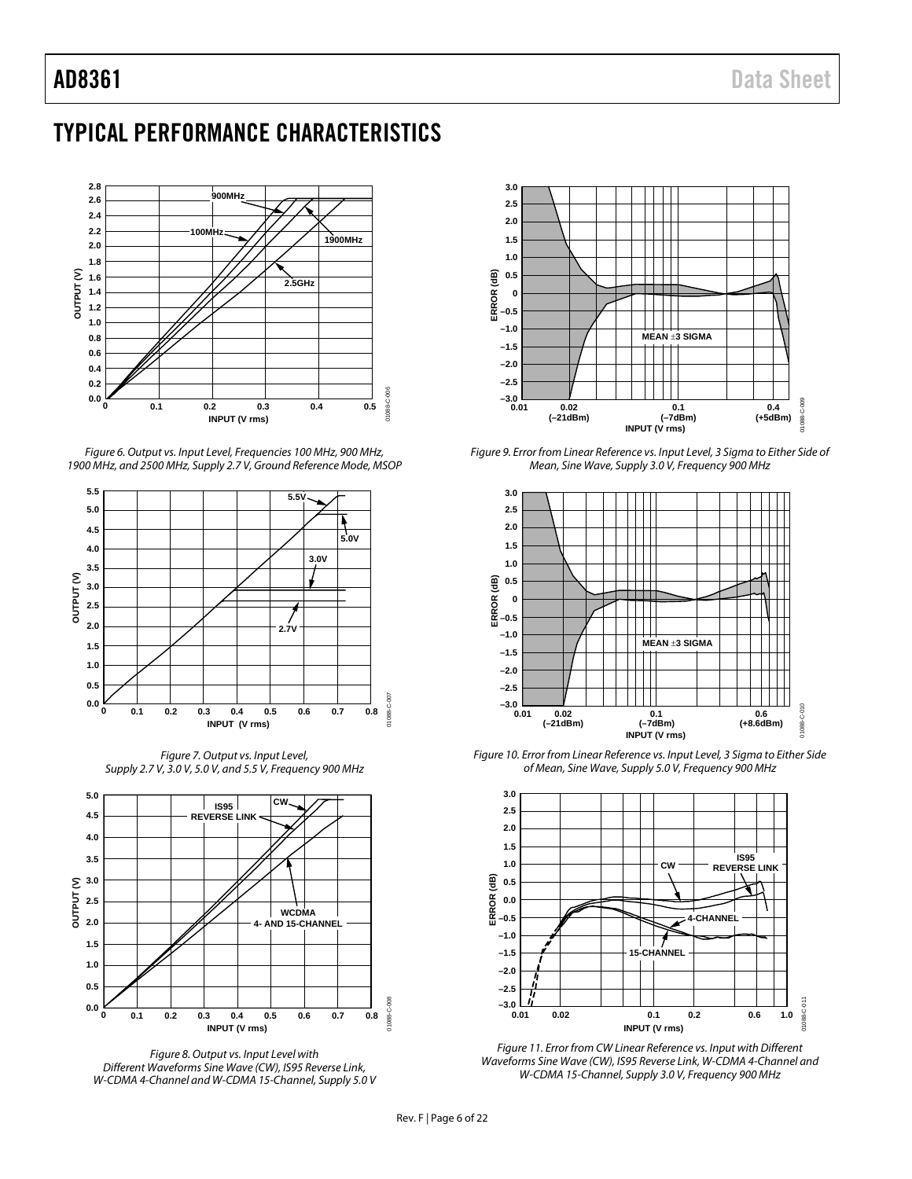# <span id="page-6-0"></span>TYPICAL PERFORMANCE CHARACTERISTICS



*Figure 6. Output vs. Input Level, Frequencies 100 MHz, 900 MHz, 1900 MHz, and 2500 MHz, Supply 2.7 V, Ground Reference Mode, MSOP*



*Figure 7. Output vs. Input Level, Supply 2.7 V, 3.0 V, 5.0 V, and 5.5 V, Frequency 900 MHz*



*Figure 8. Output vs. Input Level with Different Waveforms Sine Wave (CW), IS95 Reverse Link, W-CDMA 4-Channel and W-CDMA 15-Channel, Supply 5.0 V*



<span id="page-6-1"></span>*Figure 9. Error from Linear Reference vs. Input Level, 3 Sigma to Either Side of Mean, Sine Wave, Supply 3.0 V, Frequency 900 MHz*



<span id="page-6-2"></span>*Figure 10. Error from Linear Reference vs. Input Level, 3 Sigma to Either Side of Mean, Sine Wave, Supply 5.0 V, Frequency 900 MHz*



*Figure 11. Error from CW Linear Reference vs. Input with Different Waveforms Sine Wave (CW), IS95 Reverse Link, W-CDMA 4-Channel and W-CDMA 15-Channel, Supply 3.0 V, Frequency 900 MHz*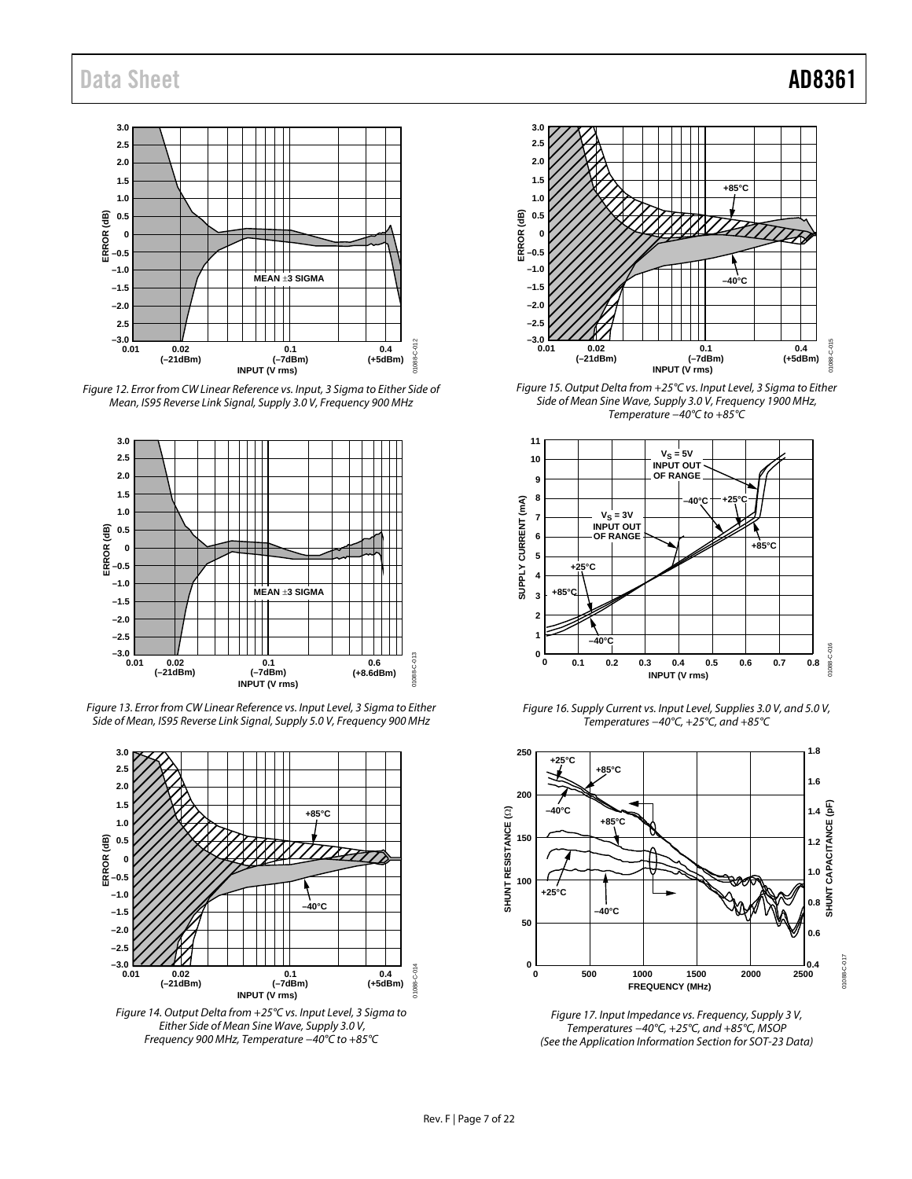

<span id="page-7-2"></span>Figure 12. Error from CW Linear Reference vs. Input, 3 Sigma to Either Side of Mean, IS95 Reverse Link Signal, Supply 3.0 V, Frequency 900 MHz



<span id="page-7-3"></span>Figure 13. Error from CW Linear Reference vs. Input Level, 3 Sigma to Either Side of Mean, IS95 Reverse Link Signal, Supply 5.0 V, Frequency 900 MHz



<span id="page-7-4"></span>Figure 14. Output Delta from +25°C vs. Input Level, 3 Sigma to Either Side of Mean Sine Wave, Supply 3.0 V, Frequency 900 MHz, Temperature −40°C to +85°C



<span id="page-7-5"></span>Figure 15. Output Delta from +25°C vs. Input Level, 3 Sigma to Either Side of Mean Sine Wave, Supply 3.0 V, Frequency 1900 MHz, Temperature −40°C to +85°C



<span id="page-7-1"></span>Figure 16. Supply Current vs. Input Level, Supplies 3.0 V, and 5.0 V, Temperatures −40°C, +25°C, and +85°C



<span id="page-7-0"></span>Figure 17. Input Impedance vs. Frequency, Supply 3 V, Temperatures −40°C, +25°C, and +85°C, MSOP (See the [Application Information S](#page-12-0)ection for SOT-23 Data)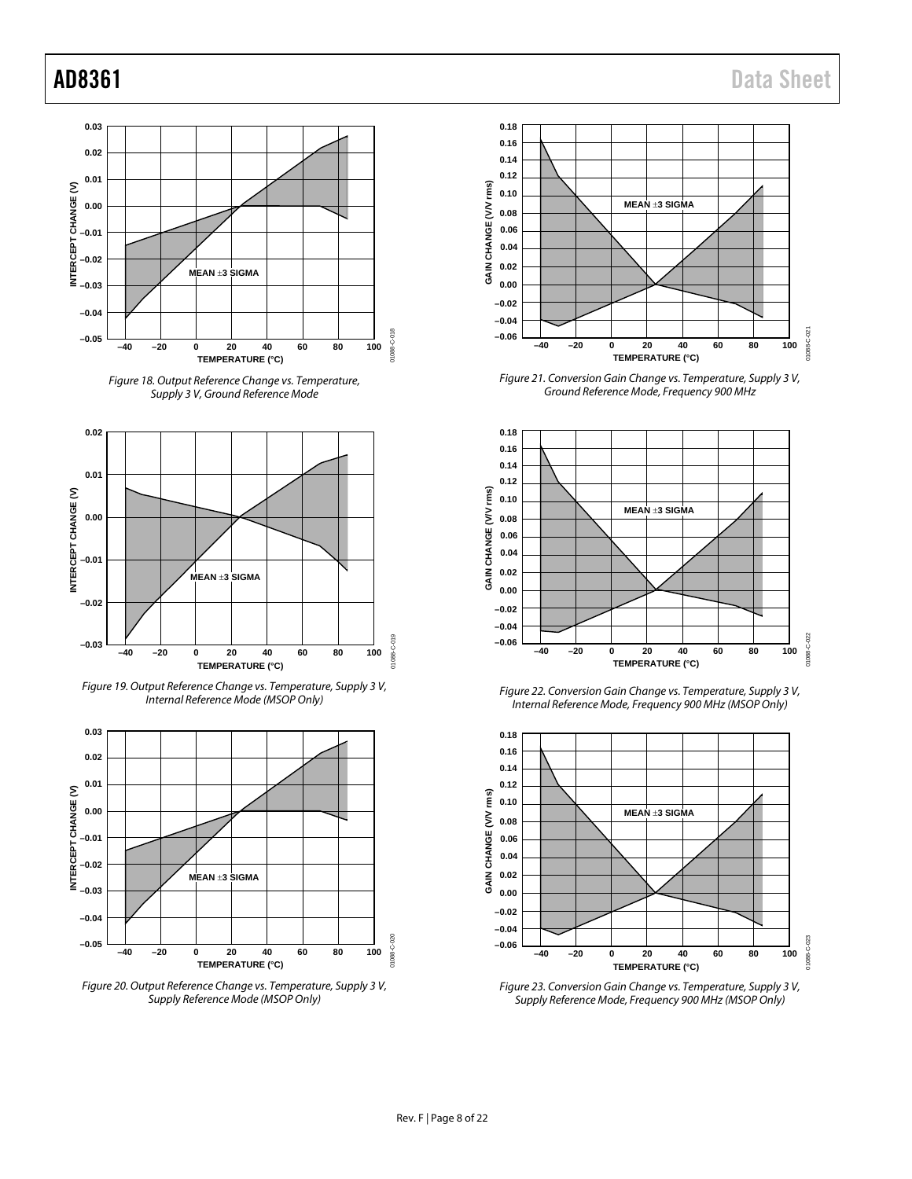



<span id="page-8-0"></span>

*Figure 19. Output Reference Change vs. Temperature, Supply 3 V, Internal Reference Mode (MSOP Only)*



*Figure 20. Output Reference Change vs. Temperature, Supply 3 V, Supply Reference Mode (MSOP Only)*



<span id="page-8-1"></span>*Figure 21. Conversion Gain Change vs. Temperature, Supply 3 V, Ground Reference Mode, Frequency 900 MHz*



*Figure 22. Conversion Gain Change vs. Temperature, Supply 3 V, Internal Reference Mode, Frequency 900 MHz (MSOP Only)*



*Figure 23. Conversion Gain Change vs. Temperature, Supply 3 V, Supply Reference Mode, Frequency 900 MHz (MSOP Only)*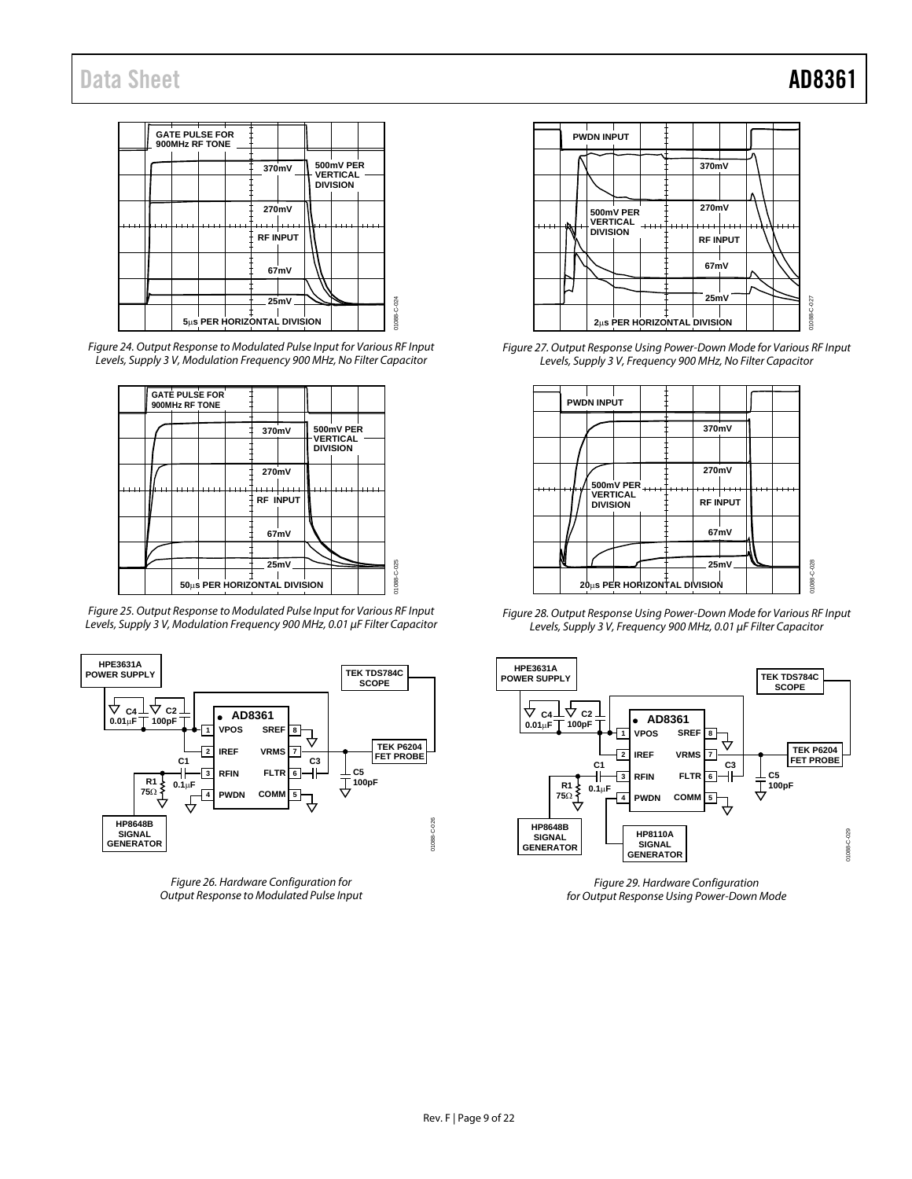

*Figure 24. Output Response to Modulated Pulse Input for Various RF Input Levels, Supply 3 V, Modulation Frequency 900 MHz, No Filter Capacitor*



*Figure 25. Output Response to Modulated Pulse Input for Various RF Input Levels, Supply 3 V, Modulation Frequency 900 MHz, 0.01 µF Filter Capacitor*



*Figure 26. Hardware Configuration for Output Response to Modulated Pulse Input*



<span id="page-9-0"></span>*Figure 27. Output Response Using Power-Down Mode for Various RF Input Levels, Supply 3 V, Frequency 900 MHz, No Filter Capacitor*



<span id="page-9-1"></span>*Figure 28. Output Response Using Power-Down Mode for Various RF Input Levels, Supply 3 V, Frequency 900 MHz, 0.01 µF Filter Capacitor*



*Figure 29. Hardware Configuration for Output Response Using Power-Down Mode*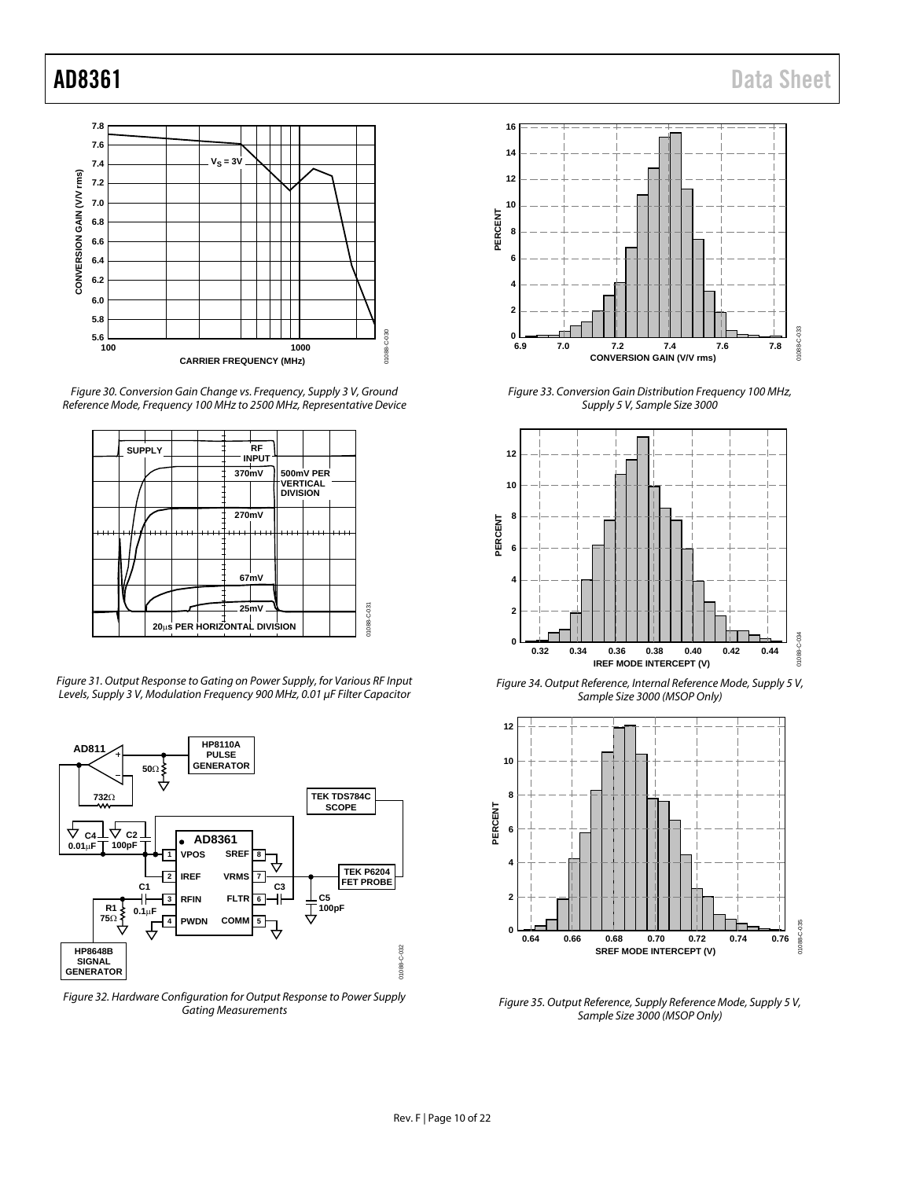

*Figure 30. Conversion Gain Change vs. Frequency, Supply 3 V, Ground Reference Mode, Frequency 100 MHz to 2500 MHz, Representative Device*



<span id="page-10-0"></span>*Figure 31. Output Response to Gating on Power Supply, for Various RF Input Levels, Supply 3 V, Modulation Frequency 900 MHz, 0.01 µF Filter Capacitor*



*Figure 32. Hardware Configuration for Output Response to Power Supply Gating Measurements*



*Figure 33. Conversion Gain Distribution Frequency 100 MHz, Supply 5 V, Sample Size 3000*



*Figure 34. Output Reference, Internal Reference Mode, Supply 5 V, Sample Size 3000 (MSOP Only)*



*Figure 35. Output Reference, Supply Reference Mode, Supply 5 V, Sample Size 3000 (MSOP Only)*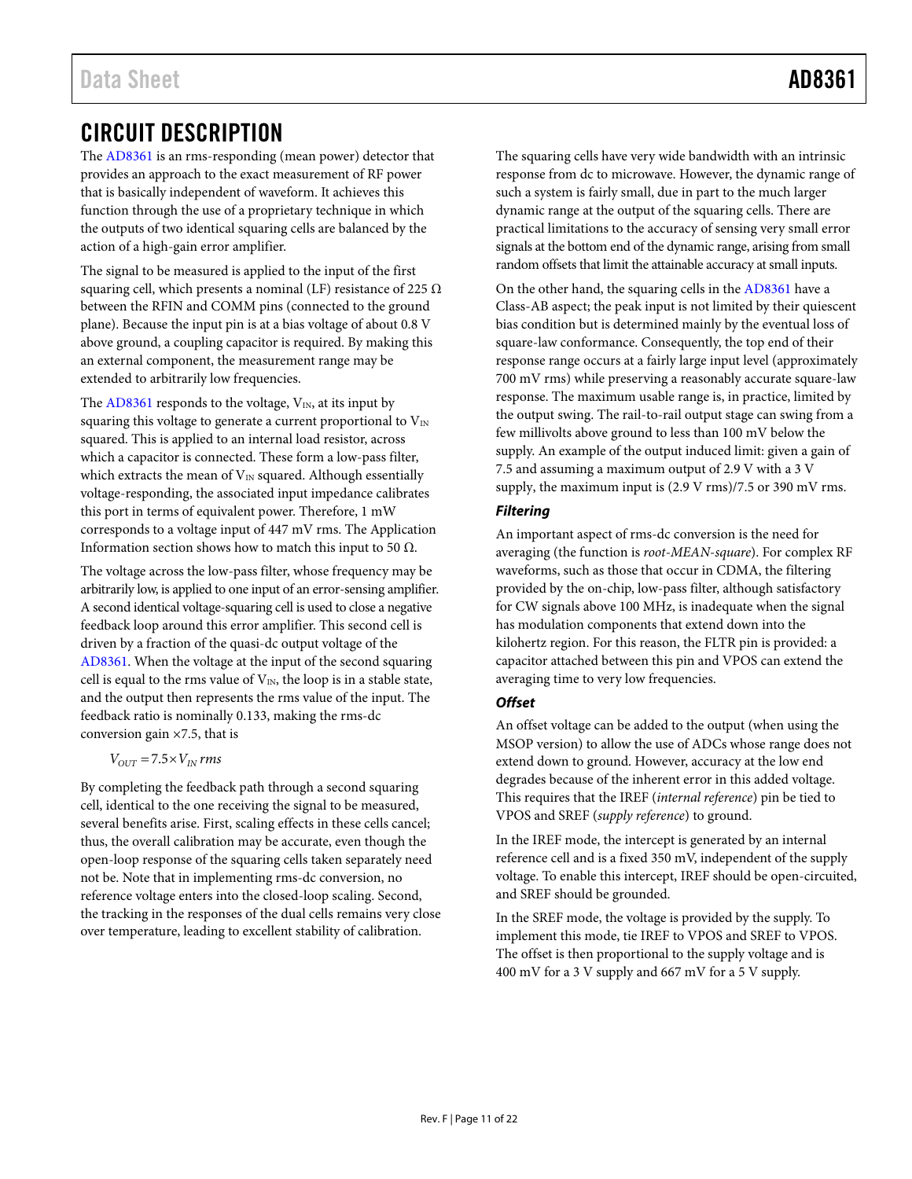# <span id="page-11-0"></span>CIRCUIT DESCRIPTION

The [AD8361 i](http://www.analog.com/AD8361?doc=AD8361.pdf)s an rms-responding (mean power) detector that provides an approach to the exact measurement of RF power that is basically independent of waveform. It achieves this function through the use of a proprietary technique in which the outputs of two identical squaring cells are balanced by the action of a high-gain error amplifier.

The signal to be measured is applied to the input of the first squaring cell, which presents a nominal (LF) resistance of 225  $\Omega$ between the RFIN and COMM pins (connected to the ground plane). Because the input pin is at a bias voltage of about 0.8 V above ground, a coupling capacitor is required. By making this an external component, the measurement range may be extended to arbitrarily low frequencies.

The  $AD8361$  responds to the voltage,  $V_{IN}$ , at its input by squaring this voltage to generate a current proportional to  $V_{\text{IN}}$ squared. This is applied to an internal load resistor, across which a capacitor is connected. These form a low-pass filter, which extracts the mean of  $V_{IN}$  squared. Although essentially voltage-responding, the associated input impedance calibrates this port in terms of equivalent power. Therefore, 1 mW corresponds to a voltage input of 447 mV rms. Th[e Application](#page-12-0)  [Information](#page-12-0) section shows how to match this input to 50 Ω.

The voltage across the low-pass filter, whose frequency may be arbitrarily low, is applied to one input of an error-sensing amplifier. A second identical voltage-squaring cell is used to close a negative feedback loop around this error amplifier. This second cell is driven by a fraction of the quasi-dc output voltage of the [AD8361.](http://www.analog.com/AD8361?doc=AD8361.pdf) When the voltage at the input of the second squaring cell is equal to the rms value of  $V_{IN}$ , the loop is in a stable state, and the output then represents the rms value of the input. The feedback ratio is nominally 0.133, making the rms-dc conversion gain ×7.5, that is

$$
V_{OUT} = 7.5 \times V_{IN} \, rms
$$

By completing the feedback path through a second squaring cell, identical to the one receiving the signal to be measured, several benefits arise. First, scaling effects in these cells cancel; thus, the overall calibration may be accurate, even though the open-loop response of the squaring cells taken separately need not be. Note that in implementing rms-dc conversion, no reference voltage enters into the closed-loop scaling. Second, the tracking in the responses of the dual cells remains very close over temperature, leading to excellent stability of calibration.

The squaring cells have very wide bandwidth with an intrinsic response from dc to microwave. However, the dynamic range of such a system is fairly small, due in part to the much larger dynamic range at the output of the squaring cells. There are practical limitations to the accuracy of sensing very small error signals at the bottom end of the dynamic range, arising from small random offsets that limit the attainable accuracy at small inputs.

On the other hand, the squaring cells in th[e AD8361 h](http://www.analog.com/AD8361?doc=AD8361.pdf)ave a Class-AB aspect; the peak input is not limited by their quiescent bias condition but is determined mainly by the eventual loss of square-law conformance. Consequently, the top end of their response range occurs at a fairly large input level (approximately 700 mV rms) while preserving a reasonably accurate square-law response. The maximum usable range is, in practice, limited by the output swing. The rail-to-rail output stage can swing from a few millivolts above ground to less than 100 mV below the supply. An example of the output induced limit: given a gain of 7.5 and assuming a maximum output of 2.9 V with a 3 V supply, the maximum input is (2.9 V rms)/7.5 or 390 mV rms.

### **Filtering**

An important aspect of rms-dc conversion is the need for averaging (the function is *root-MEAN-square*). For complex RF waveforms, such as those that occur in CDMA, the filtering provided by the on-chip, low-pass filter, although satisfactory for CW signals above 100 MHz, is inadequate when the signal has modulation components that extend down into the kilohertz region. For this reason, the FLTR pin is provided: a capacitor attached between this pin and VPOS can extend the averaging time to very low frequencies.

### **Offset**

An offset voltage can be added to the output (when using the MSOP version) to allow the use of ADCs whose range does not extend down to ground. However, accuracy at the low end degrades because of the inherent error in this added voltage. This requires that the IREF (*internal reference*) pin be tied to VPOS and SREF (*supply reference*) to ground.

In the IREF mode, the intercept is generated by an internal reference cell and is a fixed 350 mV, independent of the supply voltage. To enable this intercept, IREF should be open-circuited, and SREF should be grounded.

In the SREF mode, the voltage is provided by the supply. To implement this mode, tie IREF to VPOS and SREF to VPOS. The offset is then proportional to the supply voltage and is 400 mV for a 3 V supply and 667 mV for a 5 V supply.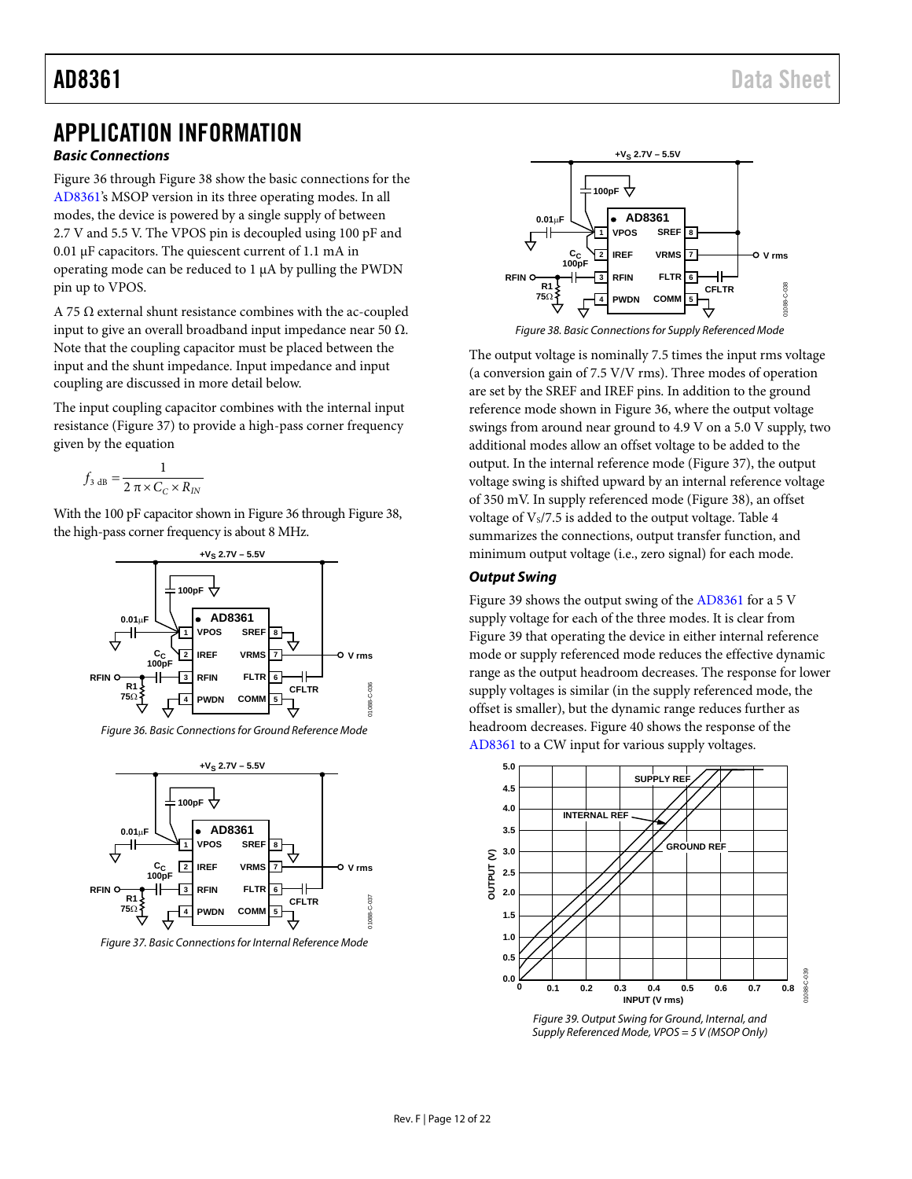# <span id="page-12-0"></span>APPLICATION INFORMATION

### **Basic Connections**

[Figure 36 t](#page-12-2)hrough [Figure 38 s](#page-12-3)how the basic connections for the [AD8361's](http://www.analog.com/AD8361?doc=AD8361.pdf) MSOP version in its three operating modes. In all modes, the device is powered by a single supply of between 2.7 V and 5.5 V. The VPOS pin is decoupled using 100 pF and 0.01 μF capacitors. The quiescent current of 1.1 mA in operating mode can be reduced to 1 μA by pulling the PWDN pin up to VPOS.

A 75  $\Omega$  external shunt resistance combines with the ac-coupled input to give an overall broadband input impedance near 50 Ω. Note that the coupling capacitor must be placed between the input and the shunt impedance. Input impedance and input coupling are discussed in more detail below.

The input coupling capacitor combines with the internal input resistance [\(Figure 37\)](#page-12-4) to provide a high-pass corner frequency given by the equation

$$
f_{3\text{ dB}} = \frac{1}{2\pi \times C_C \times R_{IN}}
$$

With the 100 pF capacitor shown i[n Figure 36 t](#page-12-2)hroug[h Figure 38,](#page-12-3)  the high-pass corner frequency is about 8 MHz.



Figure 36. Basic Connections for Ground Reference Mode

<span id="page-12-2"></span>

<span id="page-12-4"></span>Figure 37. Basic Connections for Internal Reference Mode



Figure 38. Basic Connections for Supply Referenced Mode

<span id="page-12-3"></span>The output voltage is nominally 7.5 times the input rms voltage (a conversion gain of 7.5 V/V rms). Three modes of operation are set by the SREF and IREF pins. In addition to the ground reference mode shown in [Figure 36,](#page-12-2) where the output voltage swings from around near ground to 4.9 V on a 5.0 V supply, two additional modes allow an offset voltage to be added to the output. In the internal reference mode [\(Figure 37\)](#page-12-4), the output voltage swing is shifted upward by an internal reference voltage of 350 mV. In supply referenced mode [\(Figure 38\)](#page-12-3), an offset voltage of  $V_s/7.5$  is added to the output voltage. Table 4 summarizes the connections, output transfer function, and minimum output voltage (i.e., zero signal) for each mode.

### **Output Swing**

[Figure 39 s](#page-12-1)hows the output swing of the [AD8361 f](http://www.analog.com/AD8361?doc=AD8361.pdf)or a 5 V supply voltage for each of the three modes. It is clear from [Figure 39 t](#page-12-1)hat operating the device in either internal reference mode or supply referenced mode reduces the effective dynamic range as the output headroom decreases. The response for lower supply voltages is similar (in the supply referenced mode, the offset is smaller), but the dynamic range reduces further as headroom decreases[. Figure 40](#page-13-0) shows the response of the [AD8361 t](http://www.analog.com/AD8361?doc=AD8361.pdf)o a CW input for various supply voltages.



<span id="page-12-1"></span>Figure 39. Output Swing for Ground, Internal, and Supply Referenced Mode, VPOS = 5 V (MSOP Only)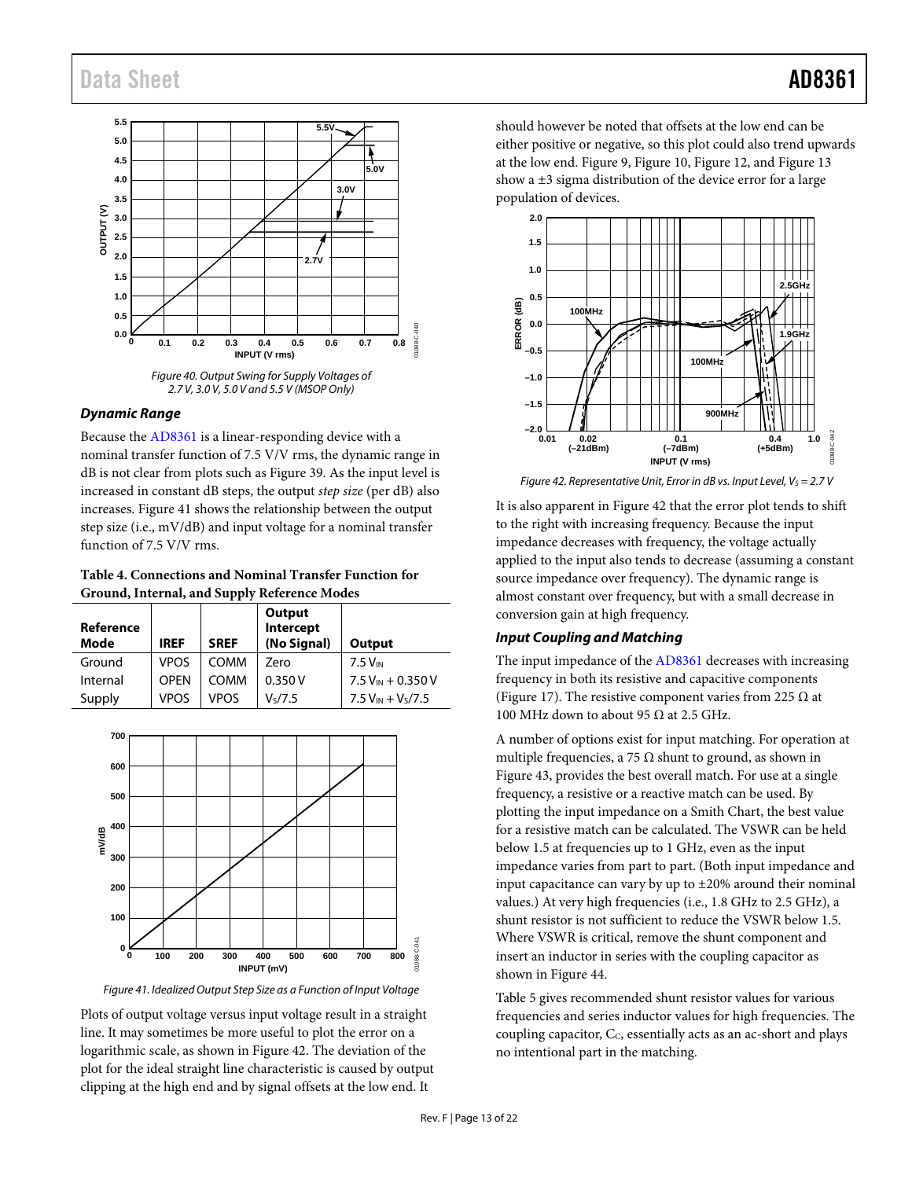

<span id="page-13-0"></span>*Dynamic Range*

Because the [AD8361](http://www.analog.com/AD8361?doc=AD8361.pdf) is a linear-responding device with a nominal transfer function of 7.5 V/V rms, the dynamic range in dB is not clear from plots such as [Figure 39.](#page-12-1) As the input level is increased in constant dB steps, the output *step size* (per dB) also increases[. Figure 41](#page-13-2) shows the relationship between the output step size (i.e., mV/dB) and input voltage for a nominal transfer function of 7.5 V/V rms.

<span id="page-13-1"></span>**Table 4. Connections and Nominal Transfer Function for Ground, Internal, and Supply Reference Modes**

| Reference<br>Mode | <b>IREF</b> | <b>SREF</b> | Output<br>Intercept<br>(No Signal) | Output                 |
|-------------------|-------------|-------------|------------------------------------|------------------------|
| Ground            | <b>VPOS</b> | COMM        | Zero                               | 7.5 V <sub>IN</sub>    |
| Internal          | <b>OPEN</b> | СОММ        | 0.350V                             | $7.5 V_{IN} + 0.350 V$ |
| Supply            | <b>VPOS</b> | <b>VPOS</b> | V <sub>s</sub> /7.5                | $7.5 V_{IN} + V_s/7.5$ |



<span id="page-13-2"></span>*Figure 41. Idealized Output Step Size as a Function of Input Voltage*

Plots of output voltage versus input voltage result in a straight line. It may sometimes be more useful to plot the error on a logarithmic scale, as shown i[n Figure 42.](#page-13-3) The deviation of the plot for the ideal straight line characteristic is caused by output clipping at the high end and by signal offsets at the low end. It

should however be noted that offsets at the low end can be either positive or negative, so this plot could also trend upwards at the low end[. Figure 9,](#page-6-1) [Figure 10,](#page-6-2) [Figure 12,](#page-7-2) an[d Figure 13](#page-7-3) show a ±3 sigma distribution of the device error for a large population of devices.



<span id="page-13-3"></span>*Figure 42. Representative Unit, Error in dB vs. Input Level, V<sub>S</sub> = 2.7 V* 

It is also apparent i[n Figure 42](#page-13-3) that the error plot tends to shift to the right with increasing frequency. Because the input impedance decreases with frequency, the voltage actually applied to the input also tends to decrease (assuming a constant source impedance over frequency). The dynamic range is almost constant over frequency, but with a small decrease in conversion gain at high frequency.

### <span id="page-13-4"></span>*Input Coupling and Matching*

The input impedance of the [AD8361](http://www.analog.com/AD8361?doc=AD8361.pdf) decreases with increasing frequency in both its resistive and capacitive components [\(Figure 17\)](#page-7-0). The resistive component varies from 225  $\Omega$  at 100 MHz down to about 95  $\Omega$  at 2.5 GHz.

A number of options exist for input matching. For operation at multiple frequencies, a 75  $\Omega$  shunt to ground, as shown in [Figure 43,](#page-14-1) provides the best overall match. For use at a single frequency, a resistive or a reactive match can be used. By plotting the input impedance on a Smith Chart, the best value for a resistive match can be calculated. The VSWR can be held below 1.5 at frequencies up to 1 GHz, even as the input impedance varies from part to part. (Both input impedance and input capacitance can vary by up to  $\pm 20\%$  around their nominal values.) At very high frequencies (i.e., 1.8 GHz to 2.5 GHz), a shunt resistor is not sufficient to reduce the VSWR below 1.5. Where VSWR is critical, remove the shunt component and insert an inductor in series with the coupling capacitor as shown in [Figure 44.](#page-14-2)

[Table 5](#page-14-3) gives recommended shunt resistor values for various frequencies and series inductor values for high frequencies. The coupling capacitor, C<sub>c</sub>, essentially acts as an ac-short and plays no intentional part in the matching.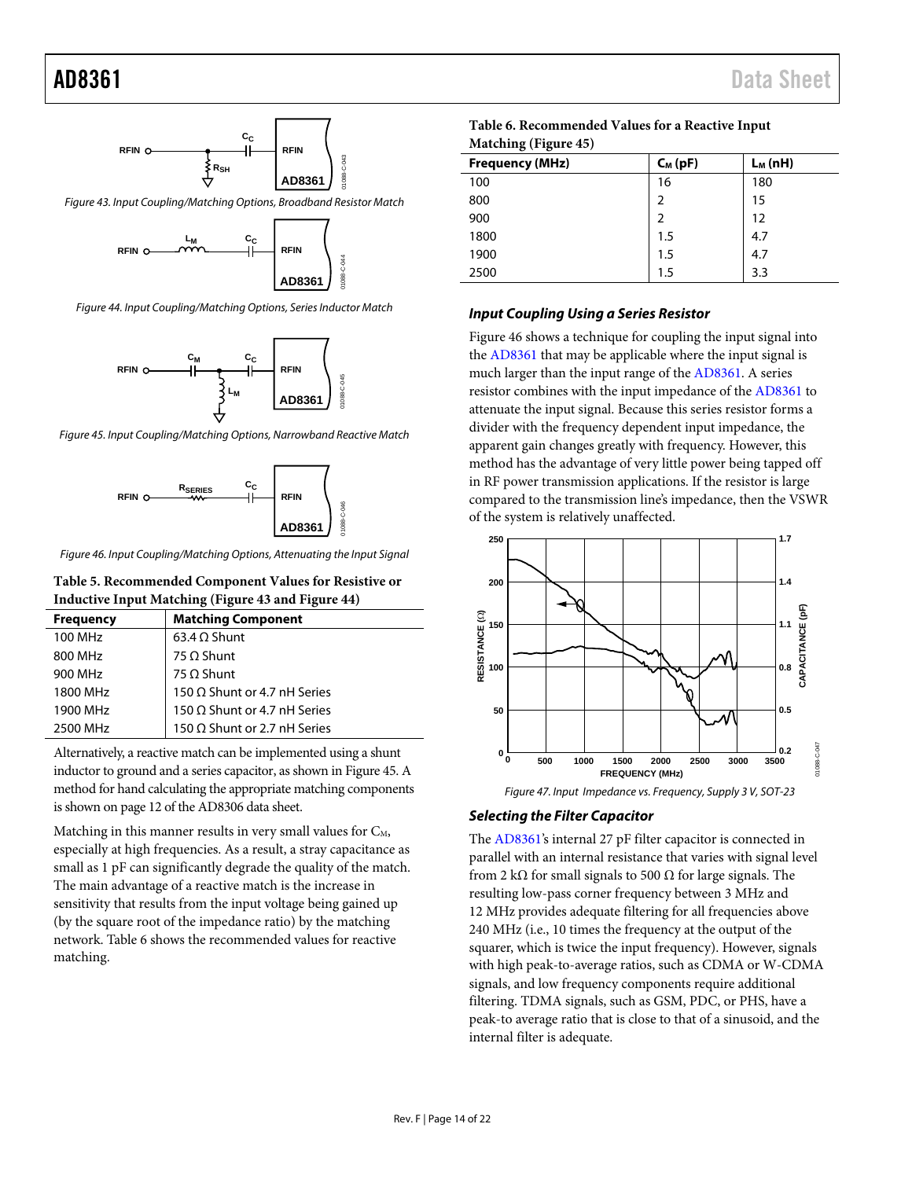

<span id="page-14-1"></span>Figure 43. Input Coupling/Matching Options, Broadband Resistor Match



<span id="page-14-2"></span>Figure 44. Input Coupling/Matching Options, Series Inductor Match



<span id="page-14-4"></span>Figure 45. Input Coupling/Matching Options, Narrowband Reactive Match



<span id="page-14-6"></span>Figure 46. Input Coupling/Matching Options, Attenuating the Input Signal

### <span id="page-14-3"></span>**Table 5. Recommended Component Values for Resistive or Inductive Input Matching [\(Figure 43 a](#page-14-1)nd [Figure 44\)](#page-14-2)**

| <b>Frequency</b>     | <b>Matching Component</b>           |
|----------------------|-------------------------------------|
| 100 MH <sub>z</sub>  | $63.4 \Omega$ Shunt                 |
| 800 MHz              | $75 \Omega$ Shunt                   |
| 900 MHz              | $75 \Omega$ Shunt                   |
| 1800 MH <sub>7</sub> | 150 $\Omega$ Shunt or 4.7 nH Series |
| 1900 MHz             | 150 $\Omega$ Shunt or 4.7 nH Series |
| 2500 MHz             | 150 Ω Shunt or 2.7 nH Series        |

Alternatively, a reactive match can be implemented using a shunt inductor to ground and a series capacitor, as shown i[n Figure 45.](#page-14-4) A method for hand calculating the appropriate matching components is shown on page 12 of th[e AD8306 d](http://www.analog.com/Analog_Root/productPage/productHome/0,2121,AD8306,00.html)ata sheet.

Matching in this manner results in very small values for  $C_M$ , especially at high frequencies. As a result, a stray capacitance as small as 1 pF can significantly degrade the quality of the match. The main advantage of a reactive match is the increase in sensitivity that results from the input voltage being gained up (by the square root of the impedance ratio) by the matching network. [Table 6 s](#page-14-5)hows the recommended values for reactive matching.

<span id="page-14-5"></span>

| Table 6. Recommended Values for a Reactive Input |  |
|--------------------------------------------------|--|
| <b>Matching (Figure 45)</b>                      |  |

| <b>Frequency (MHz)</b> | $C_M$ (pF) | $L_M(nH)$ |
|------------------------|------------|-----------|
| 100                    | 16         | 180       |
| 800                    | 2          | 15        |
| 900                    | 2          | 12        |
| 1800                   | 1.5        | 4.7       |
| 1900                   | 1.5        | 4.7       |
| 2500                   | 1.5        | 3.3       |

#### **Input Coupling Using a Series Resistor**

[Figure 46 s](#page-14-6)hows a technique for coupling the input signal into the [AD8361](http://www.analog.com/AD8361?doc=AD8361.pdf) that may be applicable where the input signal is much larger than the input range of the [AD8361.](http://www.analog.com/AD8361?doc=AD8361.pdf) A series resistor combines with the input impedance of the [AD8361 t](http://www.analog.com/AD8361?doc=AD8361.pdf)o attenuate the input signal. Because this series resistor forms a divider with the frequency dependent input impedance, the apparent gain changes greatly with frequency. However, this method has the advantage of very little power being tapped off in RF power transmission applications. If the resistor is large compared to the transmission line's impedance, then the VSWR of the system is relatively unaffected.



Figure 47. Input Impedance vs. Frequency, Supply 3 V, SOT-23

### <span id="page-14-0"></span>**Selecting the Filter Capacitor**

The [AD8361's](http://www.analog.com/AD8361?doc=AD8361.pdf) internal 27 pF filter capacitor is connected in parallel with an internal resistance that varies with signal level from 2 k $\Omega$  for small signals to 500  $\Omega$  for large signals. The resulting low-pass corner frequency between 3 MHz and 12 MHz provides adequate filtering for all frequencies above 240 MHz (i.e., 10 times the frequency at the output of the squarer, which is twice the input frequency). However, signals with high peak-to-average ratios, such as CDMA or W-CDMA signals, and low frequency components require additional filtering. TDMA signals, such as GSM, PDC, or PHS, have a peak-to average ratio that is close to that of a sinusoid, and the internal filter is adequate.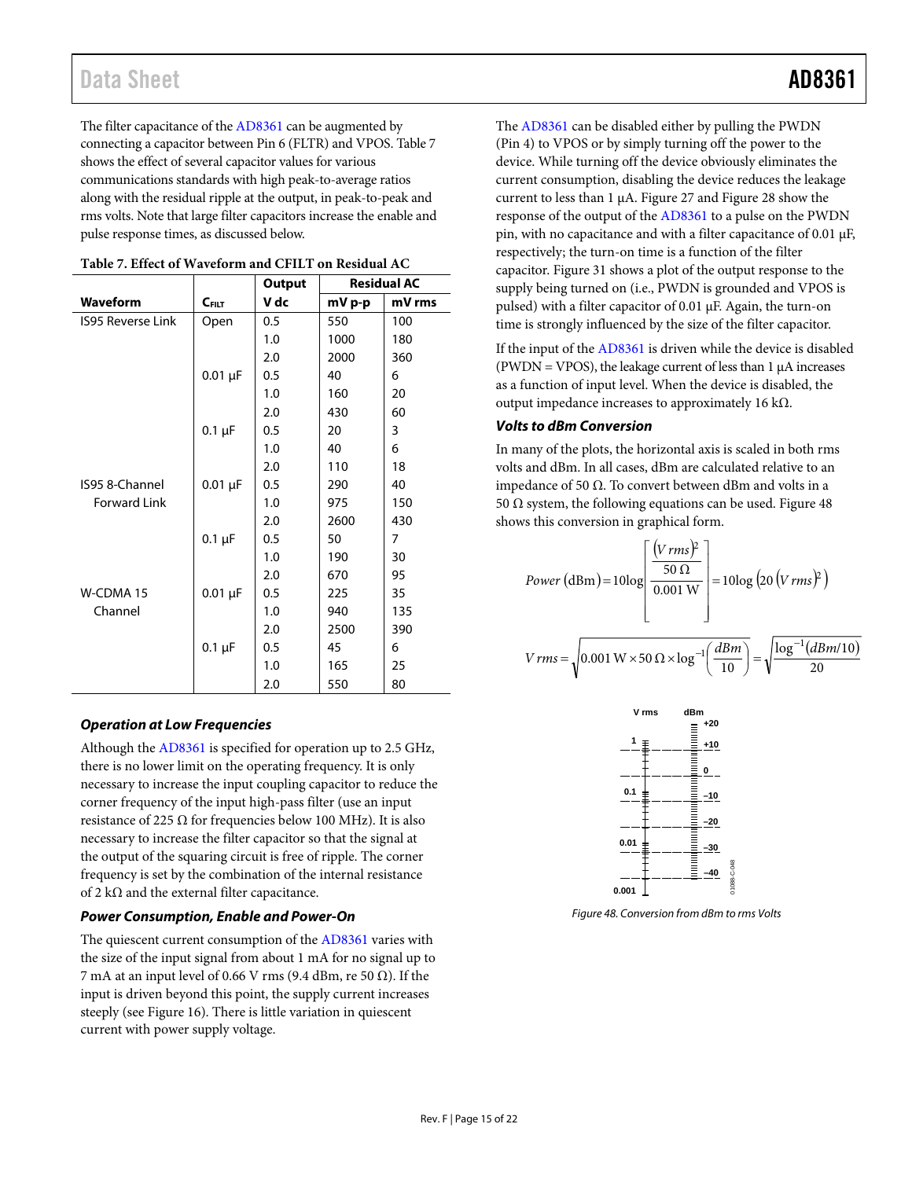The filter capacitance of th[e AD8361](http://www.analog.com/AD8361?doc=AD8361.pdf) can be augmented by connecting a capacitor between Pin 6 (FLTR) and VPOS[. Table 7](#page-15-0)  shows the effect of several capacitor values for various communications standards with high peak-to-average ratios along with the residual ripple at the output, in peak-to-peak and rms volts. Note that large filter capacitors increase the enable and pulse response times, as discussed below.

|                          |              | <b>Output</b> | <b>Residual AC</b> |        |
|--------------------------|--------------|---------------|--------------------|--------|
| <b>Waveform</b>          | $C$ FILT     | V dc          | mV p-p             | mV rms |
| <b>IS95 Reverse Link</b> | Open         | 0.5           | 550                | 100    |
|                          |              | 1.0           | 1000               | 180    |
|                          |              | 2.0           | 2000               | 360    |
|                          | $0.01 \mu F$ | 0.5           | 40                 | 6      |
|                          |              | 1.0           | 160                | 20     |
|                          |              | 2.0           | 430                | 60     |
|                          | $0.1 \mu F$  | 0.5           | 20                 | 3      |
|                          |              | 1.0           | 40                 | 6      |
|                          |              | 2.0           | 110                | 18     |
| IS95 8-Channel           | $0.01 \mu F$ | 0.5           | 290                | 40     |
| <b>Forward Link</b>      |              | 1.0           | 975                | 150    |
|                          |              | 2.0           | 2600               | 430    |
|                          | $0.1 \mu F$  | 0.5           | 50                 | 7      |
|                          |              | 1.0           | 190                | 30     |
|                          |              | 2.0           | 670                | 95     |
| W-CDMA 15                | $0.01 \mu F$ | 0.5           | 225                | 35     |
| Channel                  |              | 1.0           | 940                | 135    |
|                          |              | 2.0           | 2500               | 390    |
|                          | $0.1 \mu F$  | 0.5           | 45                 | 6      |
|                          |              | 1.0           | 165                | 25     |
|                          |              | 2.0           | 550                | 80     |

<span id="page-15-0"></span>

#### **Operation at Low Frequencies**

Although th[e AD8361 i](http://www.analog.com/AD8361?doc=AD8361.pdf)s specified for operation up to 2.5 GHz, there is no lower limit on the operating frequency. It is only necessary to increase the input coupling capacitor to reduce the corner frequency of the input high-pass filter (use an input resistance of 225 Ω for frequencies below 100 MHz). It is also necessary to increase the filter capacitor so that the signal at the output of the squaring circuit is free of ripple. The corner frequency is set by the combination of the internal resistance of 2 k $\Omega$  and the external filter capacitance.

### **Power Consumption, Enable and Power-On**

The quiescent current consumption of th[e AD8361 v](http://www.analog.com/AD8361?doc=AD8361.pdf)aries with the size of the input signal from about 1 mA for no signal up to 7 mA at an input level of 0.66 V rms (9.4 dBm, re 50  $\Omega$ ). If the input is driven beyond this point, the supply current increases steeply (see [Figure 16\)](#page-7-1). There is little variation in quiescent current with power supply voltage.

The [AD8361 c](http://www.analog.com/AD8361?doc=AD8361.pdf)an be disabled either by pulling the PWDN (Pin 4) to VPOS or by simply turning off the power to the device. While turning off the device obviously eliminates the current consumption, disabling the device reduces the leakage current to less than 1 μA[. Figure 27](#page-9-0) and [Figure 28 s](#page-9-1)how the response of the output of th[e AD8361 t](http://www.analog.com/AD8361?doc=AD8361.pdf)o a pulse on the PWDN pin, with no capacitance and with a filter capacitance of 0.01 μF, respectively; the turn-on time is a function of the filter capacitor[. Figure 31 s](#page-10-0)hows a plot of the output response to the supply being turned on (i.e., PWDN is grounded and VPOS is pulsed) with a filter capacitor of 0.01 μF. Again, the turn-on time is strongly influenced by the size of the filter capacitor.

If the input of th[e AD8361 i](http://www.analog.com/AD8361?doc=AD8361.pdf)s driven while the device is disabled (PWDN = VPOS), the leakage current of less than  $1 \mu A$  increases as a function of input level. When the device is disabled, the output impedance increases to approximately 16 kΩ.

### **Volts to dBm Conversion**

In many of the plots, the horizontal axis is scaled in both rms volts and dBm. In all cases, dBm are calculated relative to an impedance of 50 Ω. To convert between dBm and volts in a 50 Ω system, the following equations can be used. Figure 48 shows this conversion in graphical form.

$$
Power\left(\text{dBm}\right) = 10\log\left[\frac{\left(V\,rms\right)^{2}}{50\,\Omega}\right] = 10\log\left(20\left(V\,rms\right)^{2}\right)
$$

$$
V \, rms = \sqrt{0.001 \, \text{W} \times 50 \, \Omega \times \log^{-1} \left( \frac{d \, B \, m}{10} \right)} = \sqrt{\frac{\log^{-1} \left( d \, B \, m / 10 \right)}{20}}
$$



<span id="page-15-1"></span>Figure 48. Conversion from dBm to rms Volts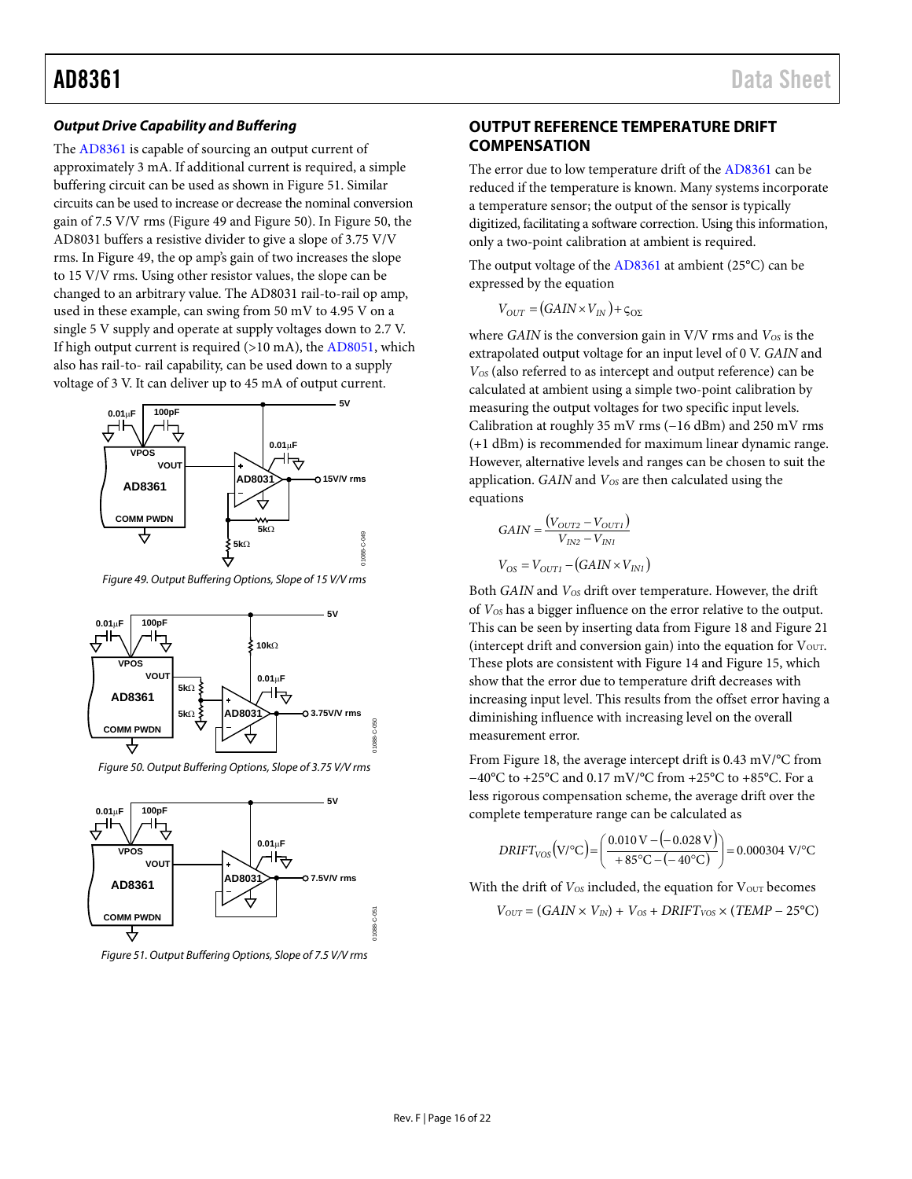### *Output Drive Capability and Buffering*

The [AD8361](http://www.analog.com/AD8361?doc=AD8361.pdf) is capable of sourcing an output current of approximately 3 mA. If additional current is required, a simple buffering circuit can be used as shown in [Figure 51.](#page-16-1) Similar circuits can be used to increase or decrease the nominal conversion gain of 7.5 V/V rms [\(Figure 49](#page-16-2) and [Figure 50\)](#page-16-3). I[n Figure 50,](#page-16-3) the AD8031 buffers a resistive divider to give a slope of 3.75 V/V rms. I[n Figure 49,](#page-16-2) the op amp's gain of two increases the slope to 15 V/V rms. Using other resistor values, the slope can be changed to an arbitrary value. The AD8031 rail-to-rail op amp, used in these example, can swing from 50 mV to 4.95 V on a single 5 V supply and operate at supply voltages down to 2.7 V. If high output current is required  $(>10 \text{ mA})$ , th[e AD8051,](http://analog.com/AD8051?doc=AD8361.pdf) which also has rail-to- rail capability, can be used down to a supply voltage of 3 V. It can deliver up to 45 mA of output current.



<span id="page-16-2"></span>*Figure 49. Output Buffering Options, Slope of 15 V/V rms*



*Figure 50. Output Buffering Options, Slope of 3.75 V/V rms*

<span id="page-16-3"></span>

<span id="page-16-1"></span>*Figure 51. Output Buffering Options, Slope of 7.5 V/V rms*

### <span id="page-16-0"></span>**OUTPUT REFERENCE TEMPERATURE DRIFT COMPENSATION**

The error due to low temperature drift of th[e AD8361](http://www.analog.com/AD8361?doc=AD8361.pdf) can be reduced if the temperature is known. Many systems incorporate a temperature sensor; the output of the sensor is typically digitized, facilitating a software correction. Using this information, only a two-point calibration at ambient is required.

The output voltage of th[e AD8361](http://www.analog.com/AD8361?doc=AD8361.pdf) at ambient (25°C) can be expressed by the equation

 $V_{OUT} = (GAIN \times V_{IN}) + \zeta_{O\Sigma}$ 

where *GAIN* is the conversion gain in V/V rms and  $V_{OS}$  is the extrapolated output voltage for an input level of 0 V. *GAIN* and *VOS* (also referred to as intercept and output reference) can be calculated at ambient using a simple two-point calibration by measuring the output voltages for two specific input levels. Calibration at roughly 35 mV rms (−16 dBm) and 250 mV rms (+1 dBm) is recommended for maximum linear dynamic range. However, alternative levels and ranges can be chosen to suit the application. *GAIN* and  $V_{OS}$  are then calculated using the equations

$$
GAN = \frac{(V_{OUT2} - V_{OUT1})}{V_{IN2} - V_{INI}}
$$

$$
V_{OS} = V_{OUT1} - (GAIN \times V_{INI})
$$

Both *GAIN* and *V<sub>OS</sub>* drift over temperature. However, the drift of *VOS* has a bigger influence on the error relative to the output. This can be seen by inserting data from [Figure 18](#page-8-0) an[d Figure 21](#page-8-1) (intercept drift and conversion gain) into the equation for  $V_{\text{OUT}}$ . These plots are consistent wit[h Figure 14](#page-7-4) an[d Figure 15,](#page-7-5) which show that the error due to temperature drift decreases with increasing input level. This results from the offset error having a diminishing influence with increasing level on the overall measurement error.

From [Figure 18,](#page-8-0) the average intercept drift is 0.43 mV/°C from −40°C to +25°C and 0.17 mV/°C from +25°C to +85°C. For a less rigorous compensation scheme, the average drift over the complete temperature range can be calculated as

$$
DRIFT_{VOS}(V/C) = \left(\frac{0.010 V - (-0.028 V)}{+85°C - (-40°C)}\right) = 0.000304 V/C
$$

With the drift of  $V_{OS}$  included, the equation for  $V_{OUT}$  becomes

 $V_{OUT} = (GAIN \times V_{IN}) + V_{OS} + DRIFT_{VOS} \times (TEMP - 25^{\circ}C)$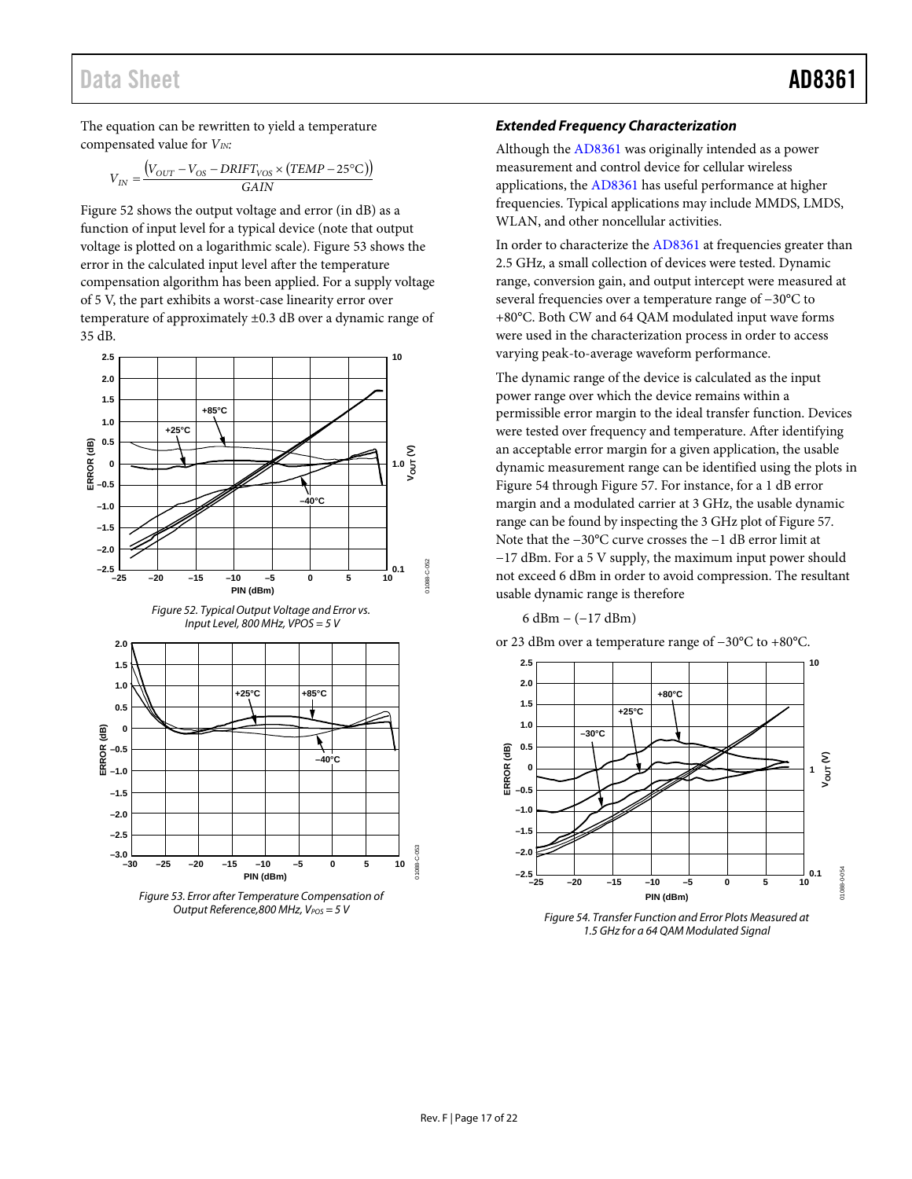## Data Sheet **AD8361**

The equation can be rewritten to yield a temperature compensated value for  $V_{IN}$ :

$$
V_{IN} = \frac{\left(V_{OUT} - V_{OS} - DRIFT_{VOS} \times (TEMP - 25^{\circ}\text{C})\right)}{GAN}
$$

[Figure 52](#page-17-0) shows the output voltage and error (in dB) as a function of input level for a typical device (note that output voltage is plotted on a logarithmic scale)[. Figure 53](#page-17-1) shows the error in the calculated input level after the temperature compensation algorithm has been applied. For a supply voltage of 5 V, the part exhibits a worst-case linearity error over temperature of approximately ±0.3 dB over a dynamic range of 35 dB.

<span id="page-17-0"></span>

<span id="page-17-1"></span>

### *Extended Frequency Characterization*

Although th[e AD8361](http://www.analog.com/AD8361?doc=AD8361.pdf) was originally intended as a power measurement and control device for cellular wireless applications, the [AD8361](http://www.analog.com/AD8361?doc=AD8361.pdf) has useful performance at higher frequencies. Typical applications may include MMDS, LMDS, WLAN, and other noncellular activities.

In order to characterize th[e AD8361](http://www.analog.com/AD8361?doc=AD8361.pdf) at frequencies greater than 2.5 GHz, a small collection of devices were tested. Dynamic range, conversion gain, and output intercept were measured at several frequencies over a temperature range of −30°C to +80°C. Both CW and 64 QAM modulated input wave forms were used in the characterization process in order to access varying peak-to-average waveform performance.

The dynamic range of the device is calculated as the input power range over which the device remains within a permissible error margin to the ideal transfer function. Devices were tested over frequency and temperature. After identifying an acceptable error margin for a given application, the usable dynamic measurement range can be identified using the plots in [Figure 54](#page-17-2) through [Figure 57.](#page-18-0) For instance, for a 1 dB error margin and a modulated carrier at 3 GHz, the usable dynamic range can be found by inspecting the 3 GHz plot o[f Figure 57.](#page-18-0)  Note that the −30°C curve crosses the −1 dB error limit at −17 dBm. For a 5 V supply, the maximum input power should not exceed 6 dBm in order to avoid compression. The resultant usable dynamic range is therefore

6 dBm − (−17 dBm)



<span id="page-17-2"></span>*Figure 54. Transfer Function and Error Plots Measured at 1.5 GHz for a 64 QAM Modulated Signal*

or 23 dBm over a temperature range of −30°C to +80°C.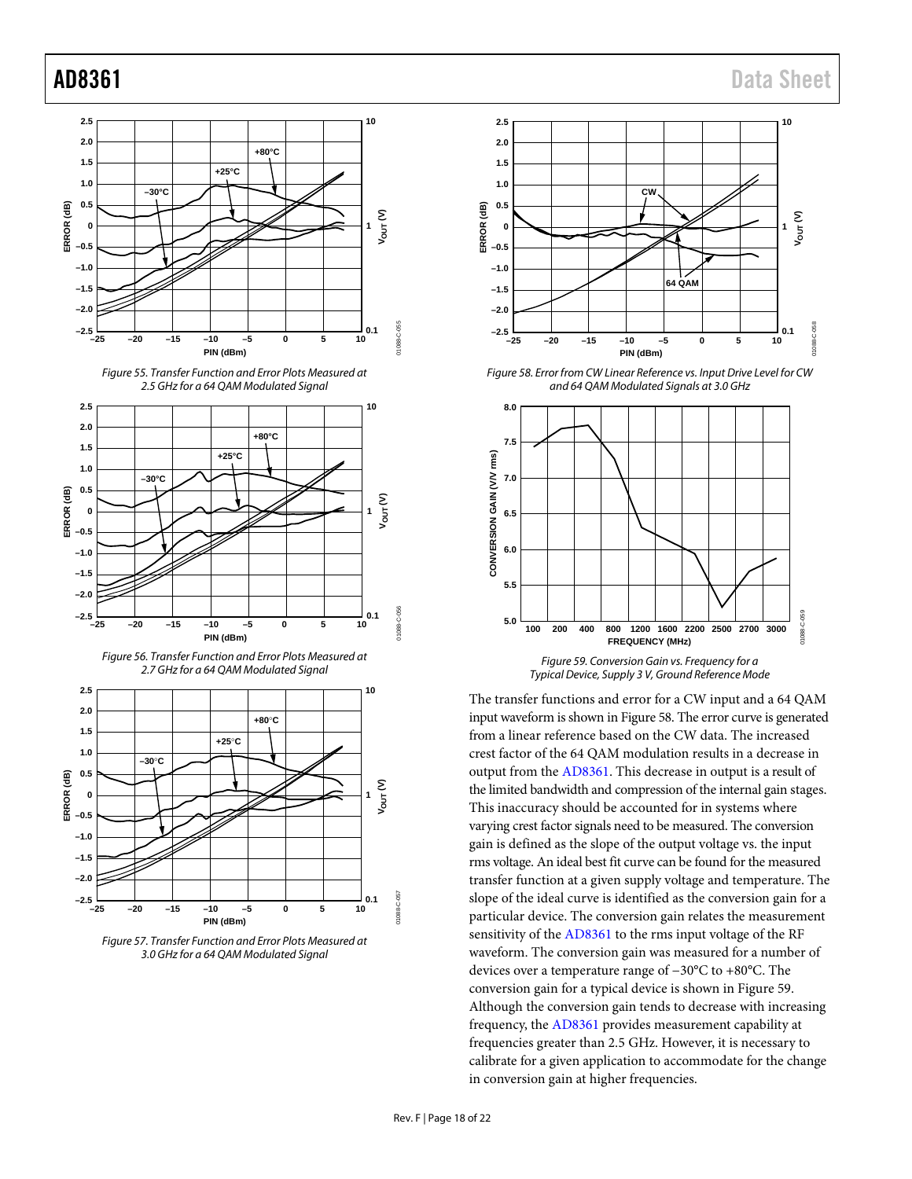









<span id="page-18-0"></span>



<span id="page-18-1"></span>*Figure 58. Error from CW Linear Reference vs. Input Drive Level for CW and 64 QAM Modulated Signals at 3.0 GHz*



<span id="page-18-2"></span>The transfer functions and error for a CW input and a 64 QAM input waveform is shown i[n Figure 58.](#page-18-1) The error curve is generated from a linear reference based on the CW data. The increased crest factor of the 64 QAM modulation results in a decrease in output from th[e AD8361.](http://www.analog.com/AD8361?doc=AD8361.pdf) This decrease in output is a result of the limited bandwidth and compression of the internal gain stages. This inaccuracy should be accounted for in systems where varying crest factor signals need to be measured. The conversion gain is defined as the slope of the output voltage vs. the input rms voltage. An ideal best fit curve can be found for the measured transfer function at a given supply voltage and temperature. The slope of the ideal curve is identified as the conversion gain for a particular device. The conversion gain relates the measurement sensitivity of the [AD8361](http://www.analog.com/AD8361?doc=AD8361.pdf) to the rms input voltage of the RF waveform. The conversion gain was measured for a number of devices over a temperature range of −30°C to +80°C. The conversion gain for a typical device is shown i[n Figure 59.](#page-18-2) Although the conversion gain tends to decrease with increasing frequency, th[e AD8361](http://www.analog.com/AD8361?doc=AD8361.pdf) provides measurement capability at frequencies greater than 2.5 GHz. However, it is necessary to calibrate for a given application to accommodate for the change in conversion gain at higher frequencies.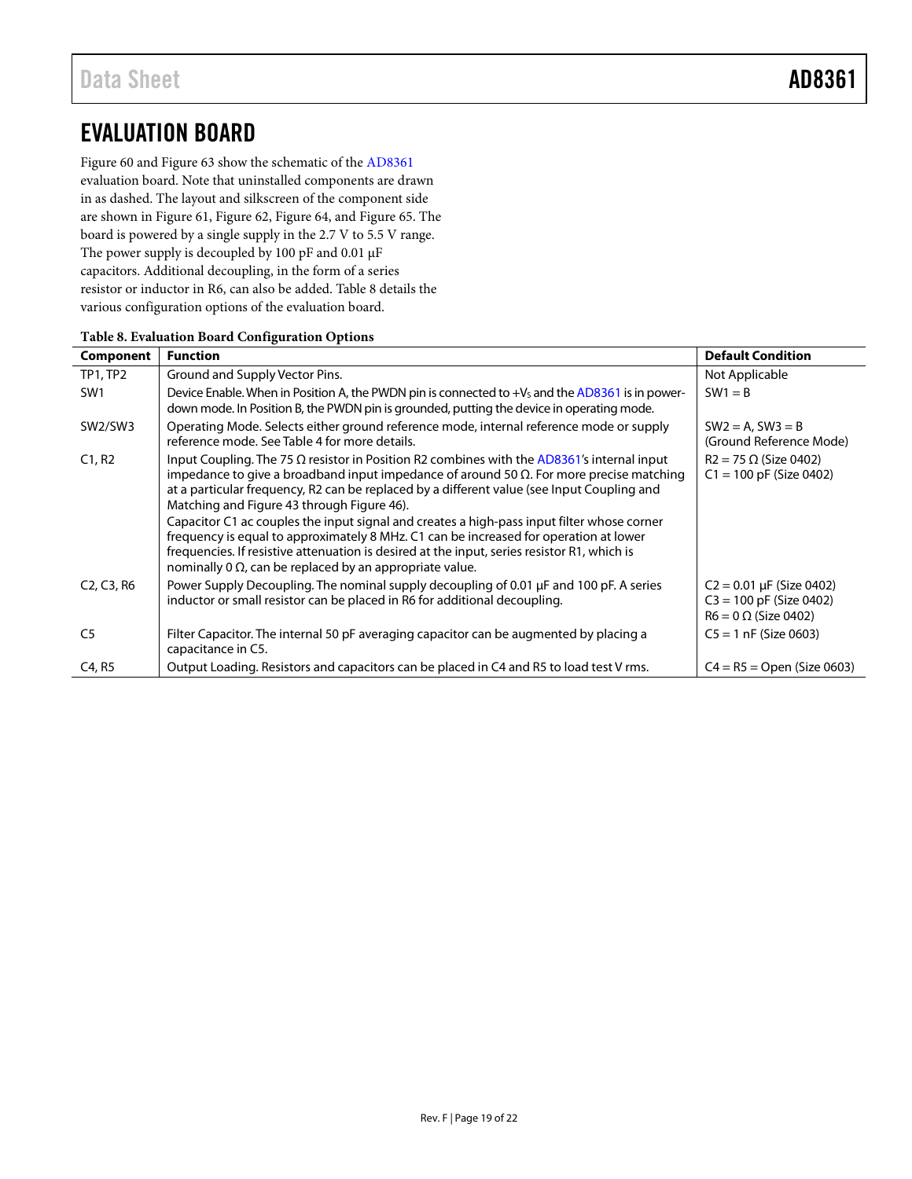# <span id="page-19-0"></span>EVALUATION BOARD

[Figure 60](#page-20-0) an[d Figure 63](#page-20-1) show the schematic of the [AD8361](http://www.analog.com/AD8361?doc=AD8361.pdf) evaluation board. Note that uninstalled components are drawn in as dashed. The layout and silkscreen of the component side are shown i[n Figure 61,](#page-20-2) [Figure 62,](#page-20-3) [Figure 64,](#page-20-4) an[d Figure 65.](#page-20-5) The board is powered by a single supply in the 2.7 V to 5.5 V range. The power supply is decoupled by 100 pF and 0.01  $\upmu\text{F}$ capacitors. Additional decoupling, in the form of a series resistor or inductor in R6, can also be added. [Table 8](#page-19-1) details the various configuration options of the evaluation board.

| Component                                        | <b>Function</b>                                                                                                                                                                                                                                                                                                                                                                                                                                                                                                                                                                                                                                                                                           | <b>Default Condition</b>                                                                  |
|--------------------------------------------------|-----------------------------------------------------------------------------------------------------------------------------------------------------------------------------------------------------------------------------------------------------------------------------------------------------------------------------------------------------------------------------------------------------------------------------------------------------------------------------------------------------------------------------------------------------------------------------------------------------------------------------------------------------------------------------------------------------------|-------------------------------------------------------------------------------------------|
| TP1, TP2                                         | Ground and Supply Vector Pins.                                                                                                                                                                                                                                                                                                                                                                                                                                                                                                                                                                                                                                                                            | Not Applicable                                                                            |
| SW <sub>1</sub>                                  | Device Enable. When in Position A, the PWDN pin is connected to +V <sub>s</sub> and the AD8361 is in power-<br>down mode. In Position B, the PWDN pin is grounded, putting the device in operating mode.                                                                                                                                                                                                                                                                                                                                                                                                                                                                                                  | $SW1 = B$                                                                                 |
| SW2/SW3                                          | Operating Mode. Selects either ground reference mode, internal reference mode or supply<br>reference mode. See Table 4 for more details.                                                                                                                                                                                                                                                                                                                                                                                                                                                                                                                                                                  | $SW2 = A$ , $SW3 = B$<br>(Ground Reference Mode)                                          |
| C1, R2                                           | Input Coupling. The 75 $\Omega$ resistor in Position R2 combines with the AD8361's internal input<br>impedance to give a broadband input impedance of around 50 $\Omega$ . For more precise matching<br>at a particular frequency, R2 can be replaced by a different value (see Input Coupling and<br>Matching and Figure 43 through Figure 46).<br>Capacitor C1 ac couples the input signal and creates a high-pass input filter whose corner<br>frequency is equal to approximately 8 MHz. C1 can be increased for operation at lower<br>frequencies. If resistive attenuation is desired at the input, series resistor R1, which is<br>nominally 0 $\Omega$ , can be replaced by an appropriate value. | $R2 = 75 \Omega$ (Size 0402)<br>$C1 = 100$ pF (Size 0402)                                 |
| C <sub>2</sub> , C <sub>3</sub> , R <sub>6</sub> | Power Supply Decoupling. The nominal supply decoupling of 0.01 µF and 100 pF. A series<br>inductor or small resistor can be placed in R6 for additional decoupling.                                                                                                                                                                                                                                                                                                                                                                                                                                                                                                                                       | $C2 = 0.01 \mu F$ (Size 0402)<br>$C3 = 100$ pF (Size 0402)<br>$R6 = 0 \Omega$ (Size 0402) |
| C <sub>5</sub>                                   | Filter Capacitor. The internal 50 pF averaging capacitor can be augmented by placing a<br>capacitance in C5.                                                                                                                                                                                                                                                                                                                                                                                                                                                                                                                                                                                              | $C5 = 1$ nF (Size 0603)                                                                   |
| C4, R5                                           | Output Loading. Resistors and capacitors can be placed in C4 and R5 to load test V rms.                                                                                                                                                                                                                                                                                                                                                                                                                                                                                                                                                                                                                   | $C4 = R5 = Open (Size 0603)$                                                              |

### <span id="page-19-1"></span>**Table 8. Evaluation Board Configuration Options**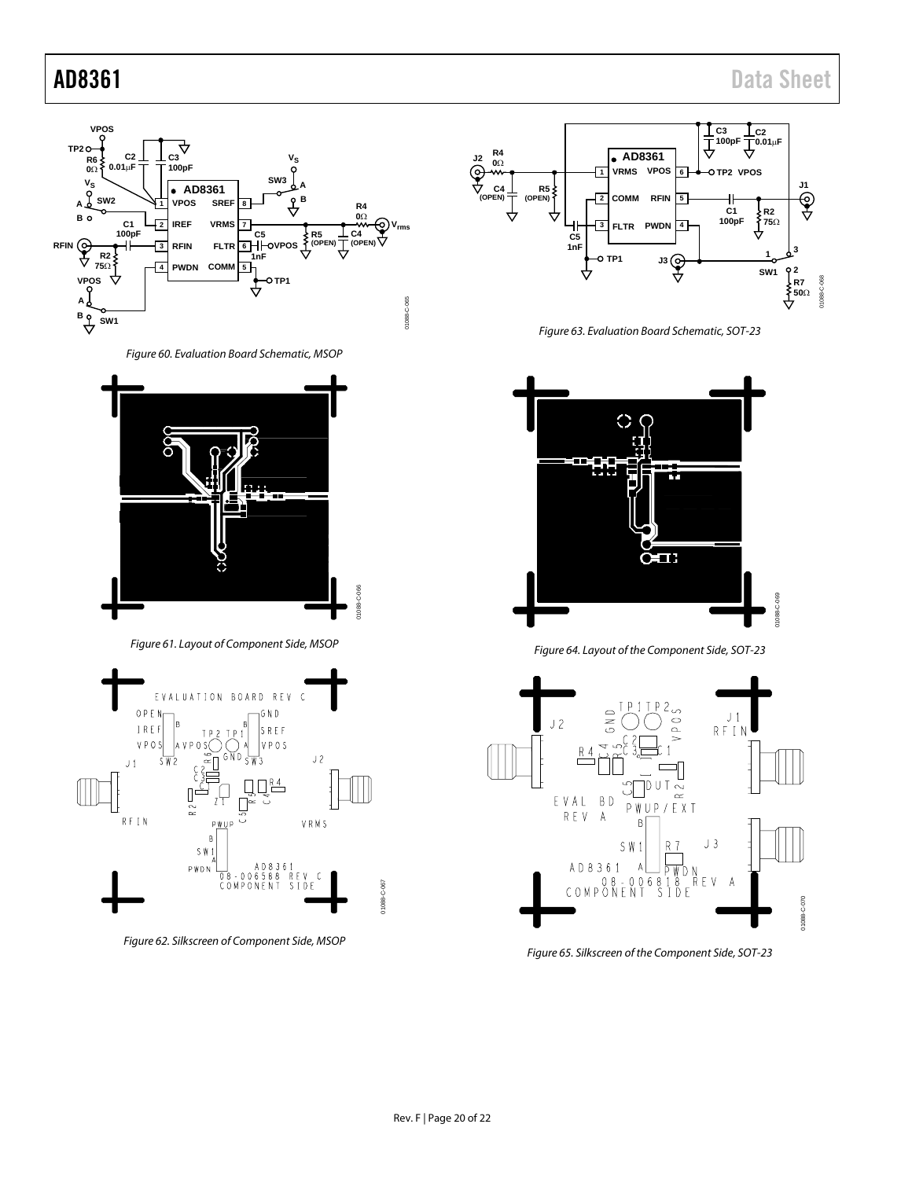

*Figure 60. Evaluation Board Schematic, MSOP*

<span id="page-20-0"></span>

*Figure 61. Layout of Component Side, MSOP*

<span id="page-20-2"></span>

<span id="page-20-3"></span>*Figure 62. Silkscreen of Component Side, MSOP*



*Figure 63. Evaluation Board Schematic, SOT-23*

<span id="page-20-1"></span>

*Figure 64. Layout of the Component Side, SOT-23*

<span id="page-20-4"></span>

<span id="page-20-5"></span>*Figure 65. Silkscreen of the Component Side, SOT-23*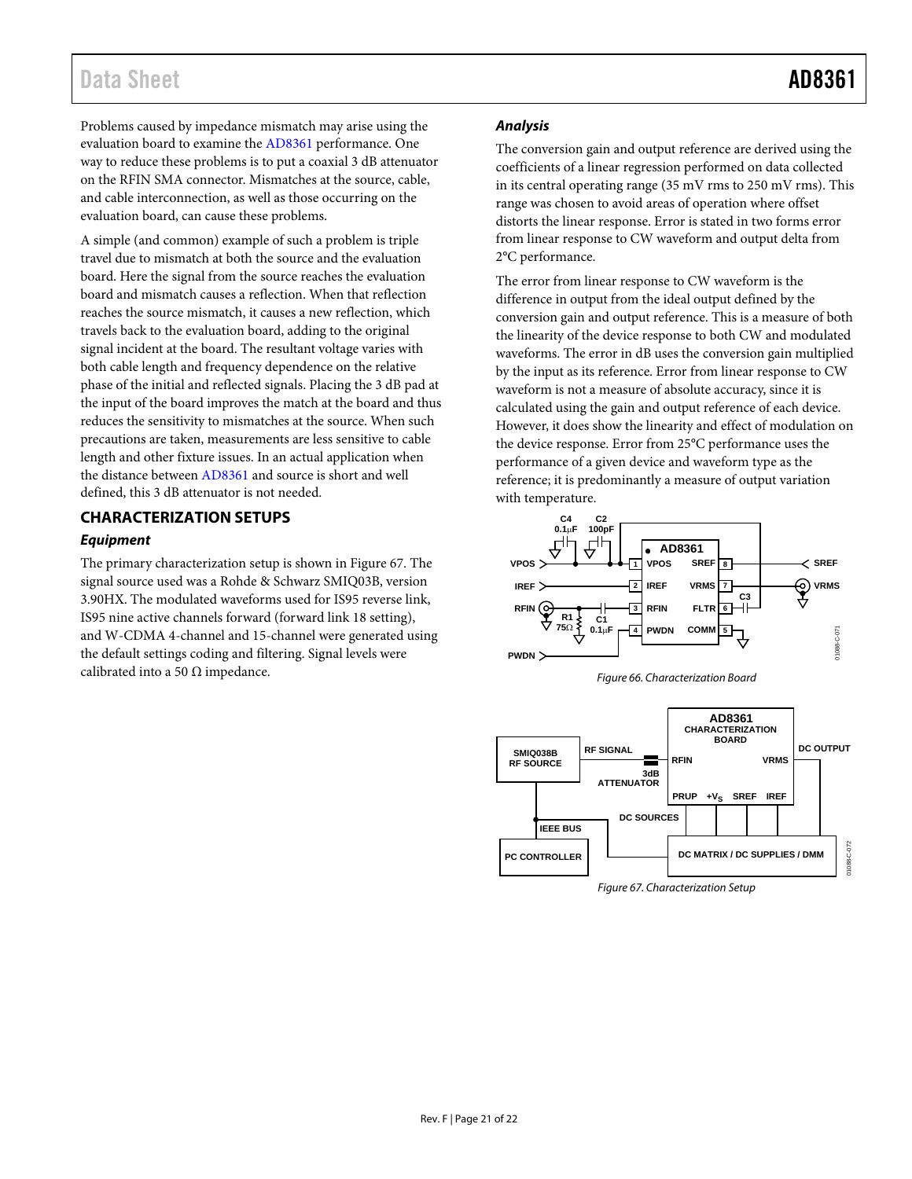## Data Sheet **AD8361**

Problems caused by impedance mismatch may arise using the evaluation board to examine th[e AD8361](http://www.analog.com/AD8361?doc=AD8361.pdf) performance. One way to reduce these problems is to put a coaxial 3 dB attenuator on the RFIN SMA connector. Mismatches at the source, cable, and cable interconnection, as well as those occurring on the evaluation board, can cause these problems.

A simple (and common) example of such a problem is triple travel due to mismatch at both the source and the evaluation board. Here the signal from the source reaches the evaluation board and mismatch causes a reflection. When that reflection reaches the source mismatch, it causes a new reflection, which travels back to the evaluation board, adding to the original signal incident at the board. The resultant voltage varies with both cable length and frequency dependence on the relative phase of the initial and reflected signals. Placing the 3 dB pad at the input of the board improves the match at the board and thus reduces the sensitivity to mismatches at the source. When such precautions are taken, measurements are less sensitive to cable length and other fixture issues. In an actual application when the distance betwee[n AD8361](http://www.analog.com/AD8361?doc=AD8361.pdf) and source is short and well defined, this 3 dB attenuator is not needed.

### <span id="page-21-0"></span>**CHARACTERIZATION SETUPS**

### **Equipment**

The primary characterization setup is shown i[n Figure 67.](#page-21-1) The signal source used was a Rohde & Schwarz SMIQ03B, version 3.90HX. The modulated waveforms used for IS95 reverse link, IS95 nine active channels forward (forward link 18 setting), and W-CDMA 4-channel and 15-channel were generated using the default settings coding and filtering. Signal levels were calibrated into a 50  $\Omega$  impedance.

### **Analysis**

The conversion gain and output reference are derived using the coefficients of a linear regression performed on data collected in its central operating range (35 mV rms to 250 mV rms). This range was chosen to avoid areas of operation where offset distorts the linear response. Error is stated in two forms error from linear response to CW waveform and output delta from 2°C performance.

The error from linear response to CW waveform is the difference in output from the ideal output defined by the conversion gain and output reference. This is a measure of both the linearity of the device response to both CW and modulated waveforms. The error in dB uses the conversion gain multiplied by the input as its reference. Error from linear response to CW waveform is not a measure of absolute accuracy, since it is calculated using the gain and output reference of each device. However, it does show the linearity and effect of modulation on the device response. Error from 25°C performance uses the performance of a given device and waveform type as the reference; it is predominantly a measure of output variation with temperature.







<span id="page-21-1"></span>Figure 67. Characterization Setup